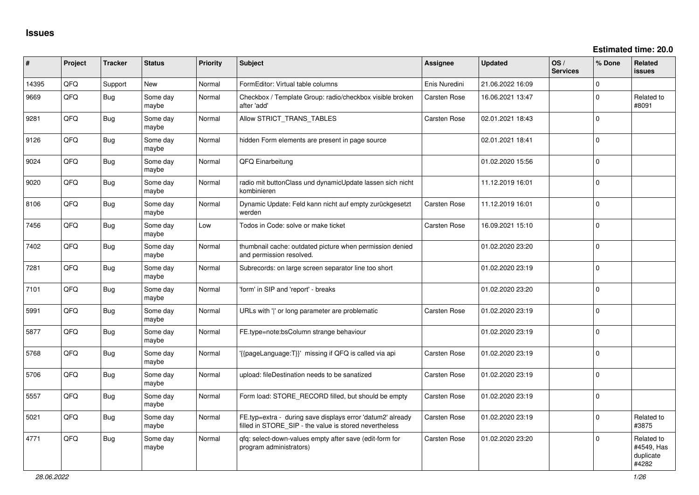| #     | Project | <b>Tracker</b> | <b>Status</b>     | <b>Priority</b> | Subject                                                                                                              | Assignee            | <b>Updated</b>   | OS/<br><b>Services</b> | % Done       | Related<br><b>issues</b>                       |
|-------|---------|----------------|-------------------|-----------------|----------------------------------------------------------------------------------------------------------------------|---------------------|------------------|------------------------|--------------|------------------------------------------------|
| 14395 | QFQ     | Support        | <b>New</b>        | Normal          | FormEditor: Virtual table columns                                                                                    | Enis Nuredini       | 21.06.2022 16:09 |                        | 0            |                                                |
| 9669  | QFQ     | <b>Bug</b>     | Some day<br>maybe | Normal          | Checkbox / Template Group: radio/checkbox visible broken<br>after 'add'                                              | <b>Carsten Rose</b> | 16.06.2021 13:47 |                        | 0            | Related to<br>#8091                            |
| 9281  | QFQ     | <b>Bug</b>     | Some day<br>maybe | Normal          | Allow STRICT_TRANS_TABLES                                                                                            | Carsten Rose        | 02.01.2021 18:43 |                        | $\mathbf 0$  |                                                |
| 9126  | QFQ     | <b>Bug</b>     | Some day<br>maybe | Normal          | hidden Form elements are present in page source                                                                      |                     | 02.01.2021 18:41 |                        | $\Omega$     |                                                |
| 9024  | QFQ     | <b>Bug</b>     | Some day<br>maybe | Normal          | QFQ Einarbeitung                                                                                                     |                     | 01.02.2020 15:56 |                        | 0            |                                                |
| 9020  | QFQ     | <b>Bug</b>     | Some day<br>maybe | Normal          | radio mit buttonClass und dynamicUpdate lassen sich nicht<br>kombinieren                                             |                     | 11.12.2019 16:01 |                        | $\Omega$     |                                                |
| 8106  | QFQ     | <b>Bug</b>     | Some day<br>maybe | Normal          | Dynamic Update: Feld kann nicht auf empty zurückgesetzt<br>werden                                                    | Carsten Rose        | 11.12.2019 16:01 |                        | $\mathbf 0$  |                                                |
| 7456  | QFQ     | <b>Bug</b>     | Some day<br>maybe | Low             | Todos in Code: solve or make ticket                                                                                  | Carsten Rose        | 16.09.2021 15:10 |                        | $\mathbf{0}$ |                                                |
| 7402  | QFQ     | <b>Bug</b>     | Some day<br>maybe | Normal          | thumbnail cache: outdated picture when permission denied<br>and permission resolved.                                 |                     | 01.02.2020 23:20 |                        | $\mathbf 0$  |                                                |
| 7281  | QFQ     | <b>Bug</b>     | Some day<br>maybe | Normal          | Subrecords: on large screen separator line too short                                                                 |                     | 01.02.2020 23:19 |                        | $\mathbf 0$  |                                                |
| 7101  | QFQ     | <b>Bug</b>     | Some day<br>maybe | Normal          | 'form' in SIP and 'report' - breaks                                                                                  |                     | 01.02.2020 23:20 |                        | $\mathbf 0$  |                                                |
| 5991  | QFQ     | <b>Bug</b>     | Some day<br>maybe | Normal          | URLs with ' ' or long parameter are problematic                                                                      | Carsten Rose        | 01.02.2020 23:19 |                        | $\Omega$     |                                                |
| 5877  | QFQ     | <b>Bug</b>     | Some day<br>maybe | Normal          | FE.type=note:bsColumn strange behaviour                                                                              |                     | 01.02.2020 23:19 |                        | $\mathbf 0$  |                                                |
| 5768  | QFQ     | Bug            | Some day<br>maybe | Normal          | {{pageLanguage:T}}' missing if QFQ is called via api                                                                 | Carsten Rose        | 01.02.2020 23:19 |                        | $\Omega$     |                                                |
| 5706  | QFQ     | <b>Bug</b>     | Some day<br>maybe | Normal          | upload: fileDestination needs to be sanatized                                                                        | Carsten Rose        | 01.02.2020 23:19 |                        | $\Omega$     |                                                |
| 5557  | QFQ     | <b>Bug</b>     | Some day<br>maybe | Normal          | Form load: STORE_RECORD filled, but should be empty                                                                  | Carsten Rose        | 01.02.2020 23:19 |                        | $\mathbf{0}$ |                                                |
| 5021  | QFQ     | Bug            | Some day<br>maybe | Normal          | FE.typ=extra - during save displays error 'datum2' already<br>filled in STORE_SIP - the value is stored nevertheless | <b>Carsten Rose</b> | 01.02.2020 23:19 |                        | $\mathbf 0$  | Related to<br>#3875                            |
| 4771  | QFQ     | <b>Bug</b>     | Some day<br>maybe | Normal          | gfg: select-down-values empty after save (edit-form for<br>program administrators)                                   | Carsten Rose        | 01.02.2020 23:20 |                        | $\mathbf 0$  | Related to<br>#4549, Has<br>duplicate<br>#4282 |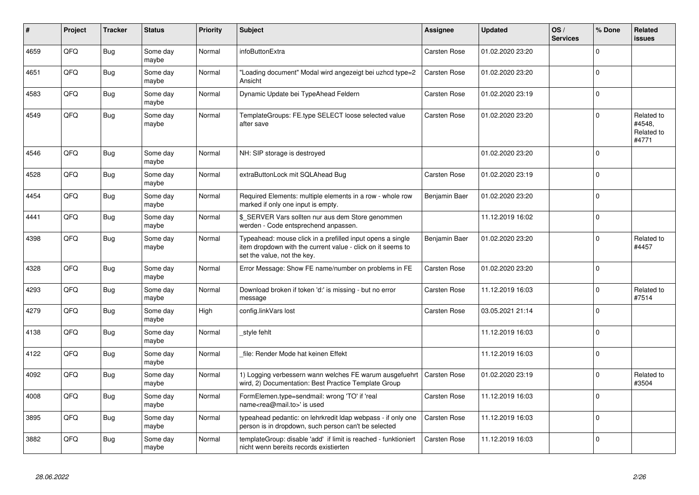| #    | Project | <b>Tracker</b> | <b>Status</b>     | <b>Priority</b> | <b>Subject</b>                                                                                                                                           | Assignee            | <b>Updated</b>   | OS/<br><b>Services</b> | % Done      | Related<br><b>issues</b>                    |
|------|---------|----------------|-------------------|-----------------|----------------------------------------------------------------------------------------------------------------------------------------------------------|---------------------|------------------|------------------------|-------------|---------------------------------------------|
| 4659 | QFQ     | <b>Bug</b>     | Some day<br>maybe | Normal          | infoButtonExtra                                                                                                                                          | <b>Carsten Rose</b> | 01.02.2020 23:20 |                        | $\Omega$    |                                             |
| 4651 | QFQ     | Bug            | Some day<br>maybe | Normal          | "Loading document" Modal wird angezeigt bei uzhcd type=2<br>Ansicht                                                                                      | Carsten Rose        | 01.02.2020 23:20 |                        | $\Omega$    |                                             |
| 4583 | QFQ     | <b>Bug</b>     | Some day<br>maybe | Normal          | Dynamic Update bei TypeAhead Feldern                                                                                                                     | Carsten Rose        | 01.02.2020 23:19 |                        | $\Omega$    |                                             |
| 4549 | QFQ     | Bug            | Some day<br>maybe | Normal          | TemplateGroups: FE.type SELECT loose selected value<br>after save                                                                                        | Carsten Rose        | 01.02.2020 23:20 |                        | $\Omega$    | Related to<br>#4548,<br>Related to<br>#4771 |
| 4546 | QFQ     | Bug            | Some day<br>maybe | Normal          | NH: SIP storage is destroyed                                                                                                                             |                     | 01.02.2020 23:20 |                        | $\mathbf 0$ |                                             |
| 4528 | QFQ     | Bug            | Some day<br>maybe | Normal          | extraButtonLock mit SQLAhead Bug                                                                                                                         | Carsten Rose        | 01.02.2020 23:19 |                        | $\mathbf 0$ |                                             |
| 4454 | QFQ     | Bug            | Some day<br>maybe | Normal          | Required Elements: multiple elements in a row - whole row<br>marked if only one input is empty.                                                          | Benjamin Baer       | 01.02.2020 23:20 |                        | $\Omega$    |                                             |
| 4441 | QFQ     | Bug            | Some day<br>maybe | Normal          | \$ SERVER Vars sollten nur aus dem Store genommen<br>werden - Code entsprechend anpassen.                                                                |                     | 11.12.2019 16:02 |                        | $\Omega$    |                                             |
| 4398 | QFQ     | Bug            | Some day<br>maybe | Normal          | Typeahead: mouse click in a prefilled input opens a single<br>item dropdown with the current value - click on it seems to<br>set the value, not the key. | Benjamin Baer       | 01.02.2020 23:20 |                        | $\Omega$    | Related to<br>#4457                         |
| 4328 | QFQ     | Bug            | Some day<br>maybe | Normal          | Error Message: Show FE name/number on problems in FE                                                                                                     | Carsten Rose        | 01.02.2020 23:20 |                        | $\Omega$    |                                             |
| 4293 | QFQ     | <b>Bug</b>     | Some day<br>maybe | Normal          | Download broken if token 'd:' is missing - but no error<br>message                                                                                       | Carsten Rose        | 11.12.2019 16:03 |                        | $\Omega$    | Related to<br>#7514                         |
| 4279 | QFQ     | <b>Bug</b>     | Some day<br>maybe | High            | config.linkVars lost                                                                                                                                     | Carsten Rose        | 03.05.2021 21:14 |                        | $\Omega$    |                                             |
| 4138 | QFQ     | <b>Bug</b>     | Some day<br>maybe | Normal          | style fehlt                                                                                                                                              |                     | 11.12.2019 16:03 |                        | $\Omega$    |                                             |
| 4122 | QFQ     | Bug            | Some day<br>maybe | Normal          | file: Render Mode hat keinen Effekt                                                                                                                      |                     | 11.12.2019 16:03 |                        | $\Omega$    |                                             |
| 4092 | QFQ     | <b>Bug</b>     | Some day<br>maybe | Normal          | 1) Logging verbessern wann welches FE warum ausgefuehrt<br>wird, 2) Documentation: Best Practice Template Group                                          | <b>Carsten Rose</b> | 01.02.2020 23:19 |                        | $\Omega$    | Related to<br>#3504                         |
| 4008 | QFQ     | Bug            | Some day<br>maybe | Normal          | FormElemen.type=sendmail: wrong 'TO' if 'real<br>name <rea@mail.to>' is used</rea@mail.to>                                                               | Carsten Rose        | 11.12.2019 16:03 |                        | $\Omega$    |                                             |
| 3895 | QFQ     | Bug            | Some day<br>maybe | Normal          | typeahead pedantic: on lehrkredit Idap webpass - if only one<br>person is in dropdown, such person can't be selected                                     | <b>Carsten Rose</b> | 11.12.2019 16:03 |                        | $\Omega$    |                                             |
| 3882 | QFQ     | Bug            | Some day<br>maybe | Normal          | templateGroup: disable 'add' if limit is reached - funktioniert<br>nicht wenn bereits records existierten                                                | Carsten Rose        | 11.12.2019 16:03 |                        | $\Omega$    |                                             |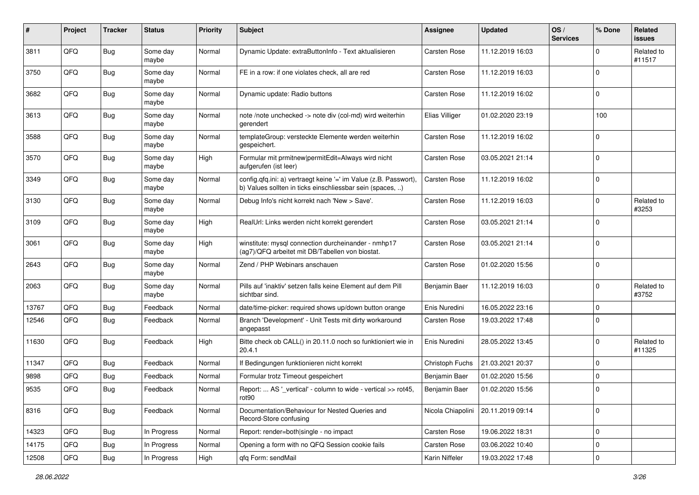| #     | Project | <b>Tracker</b> | <b>Status</b>     | <b>Priority</b> | <b>Subject</b>                                                                                                                | <b>Assignee</b>     | <b>Updated</b>   | OS/<br><b>Services</b> | % Done      | Related<br>issues    |
|-------|---------|----------------|-------------------|-----------------|-------------------------------------------------------------------------------------------------------------------------------|---------------------|------------------|------------------------|-------------|----------------------|
| 3811  | QFQ     | Bug            | Some day<br>maybe | Normal          | Dynamic Update: extraButtonInfo - Text aktualisieren                                                                          | <b>Carsten Rose</b> | 11.12.2019 16:03 |                        | $\Omega$    | Related to<br>#11517 |
| 3750  | QFQ     | Bug            | Some day<br>maybe | Normal          | FE in a row: if one violates check, all are red                                                                               | <b>Carsten Rose</b> | 11.12.2019 16:03 |                        | $\mathbf 0$ |                      |
| 3682  | QFQ     | <b>Bug</b>     | Some day<br>maybe | Normal          | Dynamic update: Radio buttons                                                                                                 | Carsten Rose        | 11.12.2019 16:02 |                        | 0           |                      |
| 3613  | QFQ     | <b>Bug</b>     | Some day<br>maybe | Normal          | note /note unchecked -> note div (col-md) wird weiterhin<br>gerendert                                                         | Elias Villiger      | 01.02.2020 23:19 |                        | 100         |                      |
| 3588  | QFQ     | <b>Bug</b>     | Some day<br>maybe | Normal          | templateGroup: versteckte Elemente werden weiterhin<br>gespeichert.                                                           | Carsten Rose        | 11.12.2019 16:02 |                        | $\mathbf 0$ |                      |
| 3570  | QFQ     | Bug            | Some day<br>maybe | High            | Formular mit prmitnew permitEdit=Always wird nicht<br>aufgerufen (ist leer)                                                   | <b>Carsten Rose</b> | 03.05.2021 21:14 |                        | $\Omega$    |                      |
| 3349  | QFQ     | Bug            | Some day<br>maybe | Normal          | config.qfq.ini: a) vertraegt keine '=' im Value (z.B. Passwort),<br>b) Values sollten in ticks einschliessbar sein (spaces, ) | <b>Carsten Rose</b> | 11.12.2019 16:02 |                        | $\Omega$    |                      |
| 3130  | QFQ     | Bug            | Some day<br>maybe | Normal          | Debug Info's nicht korrekt nach 'New > Save'.                                                                                 | Carsten Rose        | 11.12.2019 16:03 |                        | $\Omega$    | Related to<br>#3253  |
| 3109  | QFQ     | Bug            | Some day<br>maybe | High            | RealUrl: Links werden nicht korrekt gerendert                                                                                 | <b>Carsten Rose</b> | 03.05.2021 21:14 |                        | 0           |                      |
| 3061  | QFQ     | <b>Bug</b>     | Some day<br>maybe | High            | winstitute: mysql connection durcheinander - nmhp17<br>(ag7)/QFQ arbeitet mit DB/Tabellen von biostat.                        | Carsten Rose        | 03.05.2021 21:14 |                        | $\Omega$    |                      |
| 2643  | QFQ     | Bug            | Some day<br>maybe | Normal          | Zend / PHP Webinars anschauen                                                                                                 | <b>Carsten Rose</b> | 01.02.2020 15:56 |                        | 0           |                      |
| 2063  | QFQ     | <b>Bug</b>     | Some day<br>maybe | Normal          | Pills auf 'inaktiv' setzen falls keine Element auf dem Pill<br>sichtbar sind.                                                 | Benjamin Baer       | 11.12.2019 16:03 |                        | 0           | Related to<br>#3752  |
| 13767 | QFQ     | <b>Bug</b>     | Feedback          | Normal          | date/time-picker: required shows up/down button orange                                                                        | Enis Nuredini       | 16.05.2022 23:16 |                        | $\mathbf 0$ |                      |
| 12546 | QFQ     | Bug            | Feedback          | Normal          | Branch 'Development' - Unit Tests mit dirty workaround<br>angepasst                                                           | Carsten Rose        | 19.03.2022 17:48 |                        | $\Omega$    |                      |
| 11630 | QFQ     | Bug            | Feedback          | High            | Bitte check ob CALL() in 20.11.0 noch so funktioniert wie in<br>20.4.1                                                        | Enis Nuredini       | 28.05.2022 13:45 |                        | $\Omega$    | Related to<br>#11325 |
| 11347 | QFQ     | <b>Bug</b>     | Feedback          | Normal          | If Bedingungen funktionieren nicht korrekt                                                                                    | Christoph Fuchs     | 21.03.2021 20:37 |                        | $\Omega$    |                      |
| 9898  | QFQ     | <b>Bug</b>     | Feedback          | Normal          | Formular trotz Timeout gespeichert                                                                                            | Benjamin Baer       | 01.02.2020 15:56 |                        | $\mathbf 0$ |                      |
| 9535  | QFQ     | <b>Bug</b>     | Feedback          | Normal          | Report:  AS '_vertical' - column to wide - vertical >> rot45,<br>rot90                                                        | Benjamin Baer       | 01.02.2020 15:56 |                        | l 0         |                      |
| 8316  | QFQ     | <b>Bug</b>     | Feedback          | Normal          | Documentation/Behaviour for Nested Queries and<br>Record-Store confusing                                                      | Nicola Chiapolini   | 20.11.2019 09:14 |                        | 0           |                      |
| 14323 | QFQ     | <b>Bug</b>     | In Progress       | Normal          | Report: render=both single - no impact                                                                                        | Carsten Rose        | 19.06.2022 18:31 |                        | 0           |                      |
| 14175 | QFQ     | Bug            | In Progress       | Normal          | Opening a form with no QFQ Session cookie fails                                                                               | <b>Carsten Rose</b> | 03.06.2022 10:40 |                        | 0           |                      |
| 12508 | QFQ     | Bug            | In Progress       | High            | qfq Form: sendMail                                                                                                            | Karin Niffeler      | 19.03.2022 17:48 |                        | $\mathbf 0$ |                      |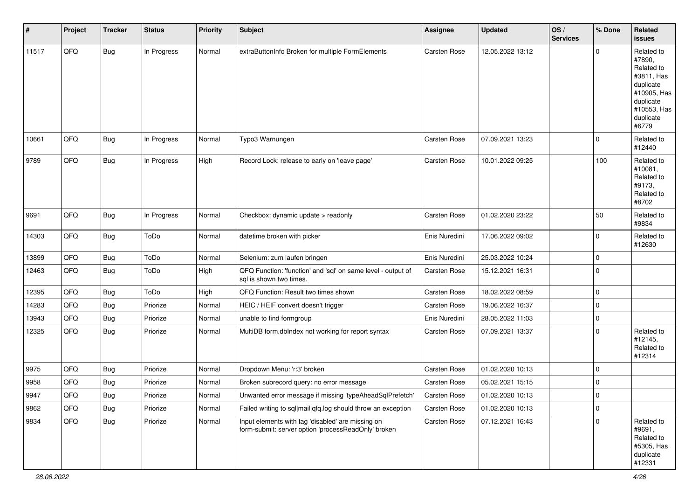| #     | Project        | <b>Tracker</b> | <b>Status</b> | <b>Priority</b> | Subject                                                                                                  | <b>Assignee</b>     | Updated          | OS/<br><b>Services</b> | % Done      | Related<br>issues                                                                                                              |
|-------|----------------|----------------|---------------|-----------------|----------------------------------------------------------------------------------------------------------|---------------------|------------------|------------------------|-------------|--------------------------------------------------------------------------------------------------------------------------------|
| 11517 | QFQ            | <b>Bug</b>     | In Progress   | Normal          | extraButtonInfo Broken for multiple FormElements                                                         | Carsten Rose        | 12.05.2022 13:12 |                        | $\Omega$    | Related to<br>#7890.<br>Related to<br>#3811, Has<br>duplicate<br>#10905, Has<br>duplicate<br>#10553, Has<br>duplicate<br>#6779 |
| 10661 | QFQ            | <b>Bug</b>     | In Progress   | Normal          | Typo3 Warnungen                                                                                          | <b>Carsten Rose</b> | 07.09.2021 13:23 |                        | $\mathbf 0$ | Related to<br>#12440                                                                                                           |
| 9789  | QFQ            | <b>Bug</b>     | In Progress   | High            | Record Lock: release to early on 'leave page'                                                            | <b>Carsten Rose</b> | 10.01.2022 09:25 |                        | 100         | Related to<br>#10081,<br>Related to<br>#9173,<br>Related to<br>#8702                                                           |
| 9691  | QFQ            | <b>Bug</b>     | In Progress   | Normal          | Checkbox: dynamic update > readonly                                                                      | <b>Carsten Rose</b> | 01.02.2020 23:22 |                        | 50          | Related to<br>#9834                                                                                                            |
| 14303 | QFQ            | <b>Bug</b>     | ToDo          | Normal          | datetime broken with picker                                                                              | Enis Nuredini       | 17.06.2022 09:02 |                        | $\mathbf 0$ | Related to<br>#12630                                                                                                           |
| 13899 | QFQ            | <b>Bug</b>     | ToDo          | Normal          | Selenium: zum laufen bringen                                                                             | Enis Nuredini       | 25.03.2022 10:24 |                        | $\mathbf 0$ |                                                                                                                                |
| 12463 | QFQ            | <b>Bug</b>     | ToDo          | High            | QFQ Function: 'function' and 'sql' on same level - output of<br>sql is shown two times.                  | Carsten Rose        | 15.12.2021 16:31 |                        | 0           |                                                                                                                                |
| 12395 | QFQ            | Bug            | ToDo          | High            | QFQ Function: Result two times shown                                                                     | Carsten Rose        | 18.02.2022 08:59 |                        | $\mathbf 0$ |                                                                                                                                |
| 14283 | QFQ            | <b>Bug</b>     | Priorize      | Normal          | HEIC / HEIF convert doesn't trigger                                                                      | <b>Carsten Rose</b> | 19.06.2022 16:37 |                        | 0           |                                                                                                                                |
| 13943 | QFQ            | Bug            | Priorize      | Normal          | unable to find formgroup                                                                                 | Enis Nuredini       | 28.05.2022 11:03 |                        | $\mathbf 0$ |                                                                                                                                |
| 12325 | QFQ            | <b>Bug</b>     | Priorize      | Normal          | MultiDB form.dblndex not working for report syntax                                                       | <b>Carsten Rose</b> | 07.09.2021 13:37 |                        | $\mathbf 0$ | Related to<br>#12145,<br>Related to<br>#12314                                                                                  |
| 9975  | QFQ            | Bug            | Priorize      | Normal          | Dropdown Menu: 'r:3' broken                                                                              | <b>Carsten Rose</b> | 01.02.2020 10:13 |                        | $\mathbf 0$ |                                                                                                                                |
| 9958  | QFQ            | <b>Bug</b>     | Priorize      | Normal          | Broken subrecord query: no error message                                                                 | Carsten Rose        | 05.02.2021 15:15 |                        | 0           |                                                                                                                                |
| 9947  | $\mathsf{QFQ}$ | Bug            | Priorize      | Normal          | Unwanted error message if missing 'typeAheadSqlPrefetch'                                                 | Carsten Rose        | 01.02.2020 10:13 |                        | 0           |                                                                                                                                |
| 9862  | QFQ            | <b>Bug</b>     | Priorize      | Normal          | Failed writing to sql mail qfq.log should throw an exception                                             | <b>Carsten Rose</b> | 01.02.2020 10:13 |                        | 0           |                                                                                                                                |
| 9834  | QFQ            | <b>Bug</b>     | Priorize      | Normal          | Input elements with tag 'disabled' are missing on<br>form-submit: server option 'processReadOnly' broken | Carsten Rose        | 07.12.2021 16:43 |                        | $\mathbf 0$ | Related to<br>#9691,<br>Related to<br>#5305, Has<br>duplicate<br>#12331                                                        |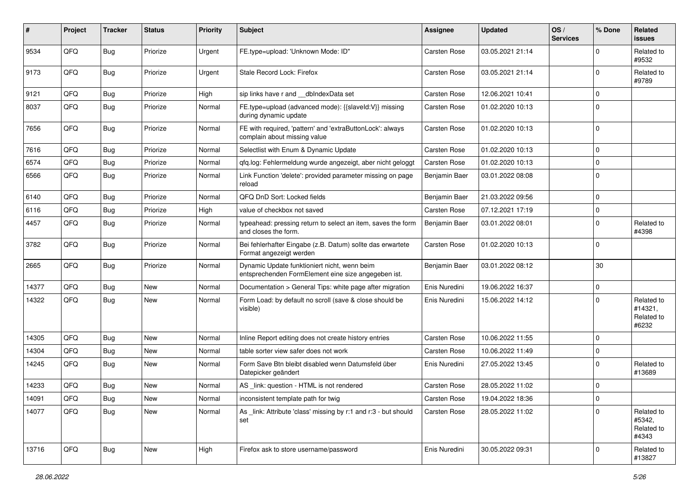| ∦     | Project | <b>Tracker</b> | <b>Status</b> | <b>Priority</b> | <b>Subject</b>                                                                                      | <b>Assignee</b>     | <b>Updated</b>   | OS/<br><b>Services</b> | % Done      | Related<br>issues                            |
|-------|---------|----------------|---------------|-----------------|-----------------------------------------------------------------------------------------------------|---------------------|------------------|------------------------|-------------|----------------------------------------------|
| 9534  | QFQ     | Bug            | Priorize      | Urgent          | FE.type=upload: 'Unknown Mode: ID"                                                                  | <b>Carsten Rose</b> | 03.05.2021 21:14 |                        | $\Omega$    | Related to<br>#9532                          |
| 9173  | QFQ     | <b>Bug</b>     | Priorize      | Urgent          | Stale Record Lock: Firefox                                                                          | <b>Carsten Rose</b> | 03.05.2021 21:14 |                        | $\Omega$    | Related to<br>#9789                          |
| 9121  | QFQ     | Bug            | Priorize      | High            | sip links have r and __dbIndexData set                                                              | <b>Carsten Rose</b> | 12.06.2021 10:41 |                        | $\Omega$    |                                              |
| 8037  | QFQ     | <b>Bug</b>     | Priorize      | Normal          | FE.type=upload (advanced mode): {{slaveId:V}} missing<br>during dynamic update                      | <b>Carsten Rose</b> | 01.02.2020 10:13 |                        | $\Omega$    |                                              |
| 7656  | QFQ     | <b>Bug</b>     | Priorize      | Normal          | FE with required, 'pattern' and 'extraButtonLock': always<br>complain about missing value           | <b>Carsten Rose</b> | 01.02.2020 10:13 |                        | $\Omega$    |                                              |
| 7616  | QFQ     | <b>Bug</b>     | Priorize      | Normal          | Selectlist with Enum & Dynamic Update                                                               | <b>Carsten Rose</b> | 01.02.2020 10:13 |                        | $\mathbf 0$ |                                              |
| 6574  | QFQ     | <b>Bug</b>     | Priorize      | Normal          | qfq.log: Fehlermeldung wurde angezeigt, aber nicht geloggt                                          | <b>Carsten Rose</b> | 01.02.2020 10:13 |                        | $\Omega$    |                                              |
| 6566  | QFQ     | Bug            | Priorize      | Normal          | Link Function 'delete': provided parameter missing on page<br>reload                                | Benjamin Baer       | 03.01.2022 08:08 |                        | $\Omega$    |                                              |
| 6140  | QFQ     | <b>Bug</b>     | Priorize      | Normal          | QFQ DnD Sort: Locked fields                                                                         | Benjamin Baer       | 21.03.2022 09:56 |                        | $\Omega$    |                                              |
| 6116  | QFQ     | <b>Bug</b>     | Priorize      | High            | value of checkbox not saved                                                                         | <b>Carsten Rose</b> | 07.12.2021 17:19 |                        | $\Omega$    |                                              |
| 4457  | QFQ     | <b>Bug</b>     | Priorize      | Normal          | typeahead: pressing return to select an item, saves the form<br>and closes the form.                | Benjamin Baer       | 03.01.2022 08:01 |                        | $\Omega$    | Related to<br>#4398                          |
| 3782  | QFQ     | <b>Bug</b>     | Priorize      | Normal          | Bei fehlerhafter Eingabe (z.B. Datum) sollte das erwartete<br>Format angezeigt werden               | <b>Carsten Rose</b> | 01.02.2020 10:13 |                        | $\mathbf 0$ |                                              |
| 2665  | QFQ     | Bug            | Priorize      | Normal          | Dynamic Update funktioniert nicht, wenn beim<br>entsprechenden FormElement eine size angegeben ist. | Benjamin Baer       | 03.01.2022 08:12 |                        | 30          |                                              |
| 14377 | QFQ     | <b>Bug</b>     | <b>New</b>    | Normal          | Documentation > General Tips: white page after migration                                            | Enis Nuredini       | 19.06.2022 16:37 |                        | $\mathbf 0$ |                                              |
| 14322 | QFQ     | <b>Bug</b>     | <b>New</b>    | Normal          | Form Load: by default no scroll (save & close should be<br>visible)                                 | Enis Nuredini       | 15.06.2022 14:12 |                        | $\Omega$    | Related to<br>#14321,<br>Related to<br>#6232 |
| 14305 | QFQ     | <b>Bug</b>     | New           | Normal          | Inline Report editing does not create history entries                                               | <b>Carsten Rose</b> | 10.06.2022 11:55 |                        | $\Omega$    |                                              |
| 14304 | QFQ     | Bug            | New           | Normal          | table sorter view safer does not work                                                               | <b>Carsten Rose</b> | 10.06.2022 11:49 |                        | 0           |                                              |
| 14245 | QFQ     | <b>Bug</b>     | <b>New</b>    | Normal          | Form Save Btn bleibt disabled wenn Datumsfeld über<br>Datepicker geändert                           | Enis Nuredini       | 27.05.2022 13:45 |                        | $\Omega$    | Related to<br>#13689                         |
| 14233 | QFQ     | <b>Bug</b>     | <b>New</b>    | Normal          | AS _link: question - HTML is not rendered                                                           | <b>Carsten Rose</b> | 28.05.2022 11:02 |                        | $\Omega$    |                                              |
| 14091 | QFQ     | <b>Bug</b>     | New           | Normal          | inconsistent template path for twig                                                                 | Carsten Rose        | 19.04.2022 18:36 |                        | 0           |                                              |
| 14077 | QFQ     | <b>Bug</b>     | New           | Normal          | As link: Attribute 'class' missing by r:1 and r:3 - but should<br>set                               | Carsten Rose        | 28.05.2022 11:02 |                        | $\Omega$    | Related to<br>#5342,<br>Related to<br>#4343  |
| 13716 | QFO     | <b>Bug</b>     | New           | High            | Firefox ask to store username/password                                                              | Enis Nuredini       | 30.05.2022 09:31 |                        | 0           | Related to<br>#13827                         |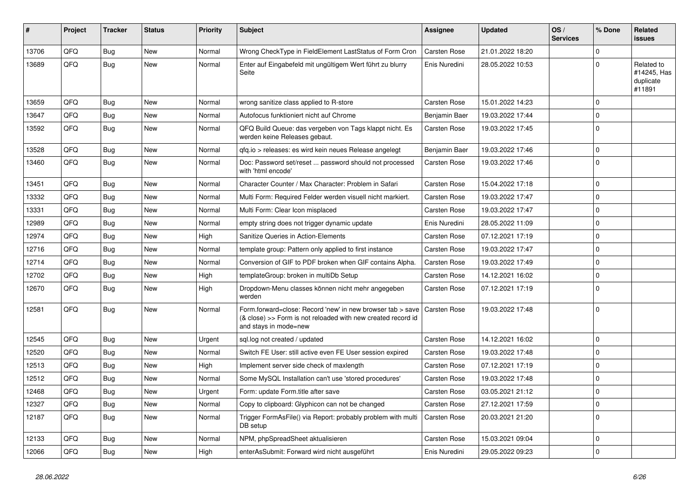| #     | Project | <b>Tracker</b> | <b>Status</b> | <b>Priority</b> | <b>Subject</b>                                                                                                                                      | Assignee            | <b>Updated</b>   | OS/<br><b>Services</b> | % Done      | Related<br>issues                                |
|-------|---------|----------------|---------------|-----------------|-----------------------------------------------------------------------------------------------------------------------------------------------------|---------------------|------------------|------------------------|-------------|--------------------------------------------------|
| 13706 | QFQ     | <b>Bug</b>     | <b>New</b>    | Normal          | Wrong CheckType in FieldElement LastStatus of Form Cron                                                                                             | <b>Carsten Rose</b> | 21.01.2022 18:20 |                        | $\mathbf 0$ |                                                  |
| 13689 | QFQ     | Bug            | New           | Normal          | Enter auf Eingabefeld mit ungültigem Wert führt zu blurry<br>Seite                                                                                  | Enis Nuredini       | 28.05.2022 10:53 |                        | $\Omega$    | Related to<br>#14245, Has<br>duplicate<br>#11891 |
| 13659 | QFQ     | Bug            | <b>New</b>    | Normal          | wrong sanitize class applied to R-store                                                                                                             | <b>Carsten Rose</b> | 15.01.2022 14:23 |                        | $\Omega$    |                                                  |
| 13647 | QFQ     | Bug            | <b>New</b>    | Normal          | Autofocus funktioniert nicht auf Chrome                                                                                                             | Benjamin Baer       | 19.03.2022 17:44 |                        | $\Omega$    |                                                  |
| 13592 | QFQ     | Bug            | New           | Normal          | QFQ Build Queue: das vergeben von Tags klappt nicht. Es<br>werden keine Releases gebaut.                                                            | Carsten Rose        | 19.03.2022 17:45 |                        | $\Omega$    |                                                  |
| 13528 | QFQ     | <b>Bug</b>     | New           | Normal          | gfg.io > releases: es wird kein neues Release angelegt                                                                                              | Benjamin Baer       | 19.03.2022 17:46 |                        | $\Omega$    |                                                  |
| 13460 | QFQ     | Bug            | New           | Normal          | Doc: Password set/reset  password should not processed<br>with 'html encode'                                                                        | Carsten Rose        | 19.03.2022 17:46 |                        | $\Omega$    |                                                  |
| 13451 | QFQ     | Bug            | <b>New</b>    | Normal          | Character Counter / Max Character: Problem in Safari                                                                                                | <b>Carsten Rose</b> | 15.04.2022 17:18 |                        | $\Omega$    |                                                  |
| 13332 | QFQ     | Bug            | <b>New</b>    | Normal          | Multi Form: Required Felder werden visuell nicht markiert.                                                                                          | Carsten Rose        | 19.03.2022 17:47 |                        | $\Omega$    |                                                  |
| 13331 | QFQ     | Bug            | New           | Normal          | Multi Form: Clear Icon misplaced                                                                                                                    | Carsten Rose        | 19.03.2022 17:47 |                        | $\Omega$    |                                                  |
| 12989 | QFQ     | Bug            | New           | Normal          | empty string does not trigger dynamic update                                                                                                        | Enis Nuredini       | 28.05.2022 11:09 |                        | $\Omega$    |                                                  |
| 12974 | QFQ     | Bug            | <b>New</b>    | High            | Sanitize Queries in Action-Elements                                                                                                                 | Carsten Rose        | 07.12.2021 17:19 |                        | $\Omega$    |                                                  |
| 12716 | QFQ     | <b>Bug</b>     | <b>New</b>    | Normal          | template group: Pattern only applied to first instance                                                                                              | Carsten Rose        | 19.03.2022 17:47 |                        | $\Omega$    |                                                  |
| 12714 | QFQ     | <b>Bug</b>     | New           | Normal          | Conversion of GIF to PDF broken when GIF contains Alpha.                                                                                            | Carsten Rose        | 19.03.2022 17:49 |                        | $\Omega$    |                                                  |
| 12702 | QFQ     | <b>Bug</b>     | New           | High            | templateGroup: broken in multiDb Setup                                                                                                              | <b>Carsten Rose</b> | 14.12.2021 16:02 |                        | $\Omega$    |                                                  |
| 12670 | QFQ     | <b>Bug</b>     | New           | High            | Dropdown-Menu classes können nicht mehr angegeben<br>werden                                                                                         | Carsten Rose        | 07.12.2021 17:19 |                        | $\Omega$    |                                                  |
| 12581 | QFQ     | <b>Bug</b>     | <b>New</b>    | Normal          | Form.forward=close: Record 'new' in new browser tab > save<br>(& close) >> Form is not reloaded with new created record id<br>and stays in mode=new | <b>Carsten Rose</b> | 19.03.2022 17:48 |                        | l O         |                                                  |
| 12545 | QFQ     | Bug            | New           | Urgent          | sql.log not created / updated                                                                                                                       | <b>Carsten Rose</b> | 14.12.2021 16:02 |                        | $\mathbf 0$ |                                                  |
| 12520 | QFQ     | <b>Bug</b>     | <b>New</b>    | Normal          | Switch FE User: still active even FE User session expired                                                                                           | <b>Carsten Rose</b> | 19.03.2022 17:48 |                        | $\Omega$    |                                                  |
| 12513 | QFQ     | <b>Bug</b>     | New           | High            | Implement server side check of maxlength                                                                                                            | Carsten Rose        | 07.12.2021 17:19 |                        | $\Omega$    |                                                  |
| 12512 | QFQ     | <b>Bug</b>     | New           | Normal          | Some MySQL Installation can't use 'stored procedures'                                                                                               | Carsten Rose        | 19.03.2022 17:48 |                        | $\Omega$    |                                                  |
| 12468 | QFQ     | <b>Bug</b>     | New           | Urgent          | Form: update Form.title after save                                                                                                                  | Carsten Rose        | 03.05.2021 21:12 |                        | $\Omega$    |                                                  |
| 12327 | QFQ     | <b>Bug</b>     | <b>New</b>    | Normal          | Copy to clipboard: Glyphicon can not be changed                                                                                                     | <b>Carsten Rose</b> | 27.12.2021 17:59 |                        | $\Omega$    |                                                  |
| 12187 | QFQ     | <b>Bug</b>     | New           | Normal          | Trigger FormAsFile() via Report: probably problem with multi<br>DB setup                                                                            | <b>Carsten Rose</b> | 20.03.2021 21:20 |                        | $\Omega$    |                                                  |
| 12133 | QFQ     | Bug            | <b>New</b>    | Normal          | NPM, phpSpreadSheet aktualisieren                                                                                                                   | Carsten Rose        | 15.03.2021 09:04 |                        | $\Omega$    |                                                  |
| 12066 | QFQ     | Bug            | New           | High            | enterAsSubmit: Forward wird nicht ausgeführt                                                                                                        | Enis Nuredini       | 29.05.2022 09:23 |                        | l O         |                                                  |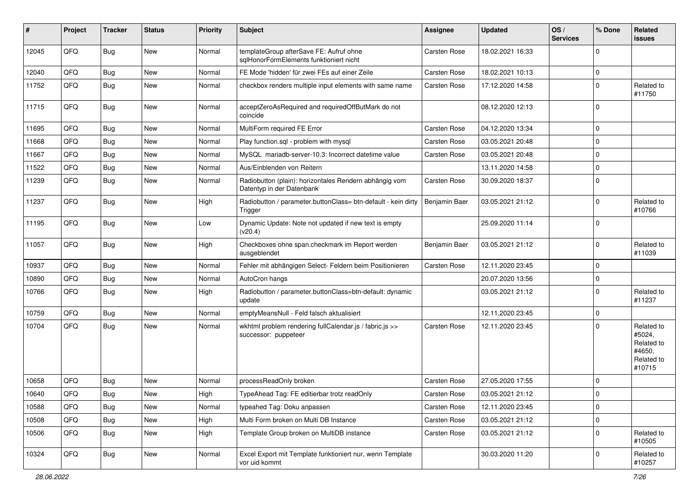| #     | Project | <b>Tracker</b> | <b>Status</b> | <b>Priority</b> | Subject                                                                             | <b>Assignee</b>     | <b>Updated</b>   | OS/<br><b>Services</b> | % Done      | Related<br><b>issues</b>                                             |
|-------|---------|----------------|---------------|-----------------|-------------------------------------------------------------------------------------|---------------------|------------------|------------------------|-------------|----------------------------------------------------------------------|
| 12045 | QFQ     | <b>Bug</b>     | New           | Normal          | templateGroup afterSave FE: Aufruf ohne<br>sqlHonorFormElements funktioniert nicht  | <b>Carsten Rose</b> | 18.02.2021 16:33 |                        | $\mathbf 0$ |                                                                      |
| 12040 | QFQ     | <b>Bug</b>     | New           | Normal          | FE Mode 'hidden' für zwei FEs auf einer Zeile                                       | <b>Carsten Rose</b> | 18.02.2021 10:13 |                        | $\mathbf 0$ |                                                                      |
| 11752 | QFQ     | <b>Bug</b>     | New           | Normal          | checkbox renders multiple input elements with same name                             | <b>Carsten Rose</b> | 17.12.2020 14:58 |                        | $\Omega$    | Related to<br>#11750                                                 |
| 11715 | QFQ     | <b>Bug</b>     | New           | Normal          | acceptZeroAsRequired and requiredOffButMark do not<br>coincide                      |                     | 08.12.2020 12:13 |                        | l 0         |                                                                      |
| 11695 | QFQ     | <b>Bug</b>     | New           | Normal          | MultiForm required FE Error                                                         | <b>Carsten Rose</b> | 04.12.2020 13:34 |                        | $\mathbf 0$ |                                                                      |
| 11668 | QFQ     | <b>Bug</b>     | New           | Normal          | Play function.sql - problem with mysql                                              | Carsten Rose        | 03.05.2021 20:48 |                        | $\Omega$    |                                                                      |
| 11667 | QFQ     | <b>Bug</b>     | New           | Normal          | MySQL mariadb-server-10.3: Incorrect datetime value                                 | <b>Carsten Rose</b> | 03.05.2021 20:48 |                        | $\mathbf 0$ |                                                                      |
| 11522 | QFQ     | Bug            | <b>New</b>    | Normal          | Aus/Einblenden von Reitern                                                          |                     | 13.11.2020 14:58 |                        | $\mathbf 0$ |                                                                      |
| 11239 | QFQ     | <b>Bug</b>     | <b>New</b>    | Normal          | Radiobutton (plain): horizontales Rendern abhängig vom<br>Datentyp in der Datenbank | <b>Carsten Rose</b> | 30.09.2020 18:37 |                        | $\mathbf 0$ |                                                                      |
| 11237 | QFQ     | <b>Bug</b>     | New           | High            | Radiobutton / parameter.buttonClass= btn-default - kein dirty<br>Trigger            | Benjamin Baer       | 03.05.2021 21:12 |                        | $\mathbf 0$ | Related to<br>#10766                                                 |
| 11195 | QFQ     | Bug            | <b>New</b>    | Low             | Dynamic Update: Note not updated if new text is empty<br>(v20.4)                    |                     | 25.09.2020 11:14 |                        | $\Omega$    |                                                                      |
| 11057 | QFQ     | <b>Bug</b>     | New           | High            | Checkboxes ohne span.checkmark im Report werden<br>ausgeblendet                     | Benjamin Baer       | 03.05.2021 21:12 |                        | $\mathbf 0$ | Related to<br>#11039                                                 |
| 10937 | QFQ     | <b>Bug</b>     | <b>New</b>    | Normal          | Fehler mit abhängigen Select- Feldern beim Positionieren                            | <b>Carsten Rose</b> | 12.11.2020 23:45 |                        | $\mathbf 0$ |                                                                      |
| 10890 | QFQ     | <b>Bug</b>     | New           | Normal          | AutoCron hangs                                                                      |                     | 20.07.2020 13:56 |                        | $\mathbf 0$ |                                                                      |
| 10766 | QFQ     | <b>Bug</b>     | New           | High            | Radiobutton / parameter.buttonClass=btn-default: dynamic<br>update                  |                     | 03.05.2021 21:12 |                        | $\mathbf 0$ | Related to<br>#11237                                                 |
| 10759 | QFQ     | <b>Bug</b>     | <b>New</b>    | Normal          | emptyMeansNull - Feld falsch aktualisiert                                           |                     | 12.11.2020 23:45 |                        | $\mathbf 0$ |                                                                      |
| 10704 | QFQ     | <b>Bug</b>     | New           | Normal          | wkhtml problem rendering fullCalendar.js / fabric.js >><br>successor: puppeteer     | Carsten Rose        | 12.11.2020 23:45 |                        | $\Omega$    | Related to<br>#5024,<br>Related to<br>#4650.<br>Related to<br>#10715 |
| 10658 | QFQ     | <b>Bug</b>     | New           | Normal          | processReadOnly broken                                                              | <b>Carsten Rose</b> | 27.05.2020 17:55 |                        | $\Omega$    |                                                                      |
| 10640 | QFQ     | Bug            | New           | High            | TypeAhead Tag: FE editierbar trotz readOnly                                         | <b>Carsten Rose</b> | 03.05.2021 21:12 |                        | $\Omega$    |                                                                      |
| 10588 | QFQ     | <b>Bug</b>     | New           | Normal          | typeahed Tag: Doku anpassen                                                         | Carsten Rose        | 12.11.2020 23:45 |                        | $\mathbf 0$ |                                                                      |
| 10508 | QFQ     | <b>Bug</b>     | New           | High            | Multi Form broken on Multi DB Instance                                              | Carsten Rose        | 03.05.2021 21:12 |                        | $\mathbf 0$ |                                                                      |
| 10506 | QFQ     | <b>Bug</b>     | New           | High            | Template Group broken on MultiDB instance                                           | Carsten Rose        | 03.05.2021 21:12 |                        | $\mathbf 0$ | Related to<br>#10505                                                 |
| 10324 | QFQ     | Bug            | New           | Normal          | Excel Export mit Template funktioniert nur, wenn Template<br>vor uid kommt          |                     | 30.03.2020 11:20 |                        | 0           | Related to<br>#10257                                                 |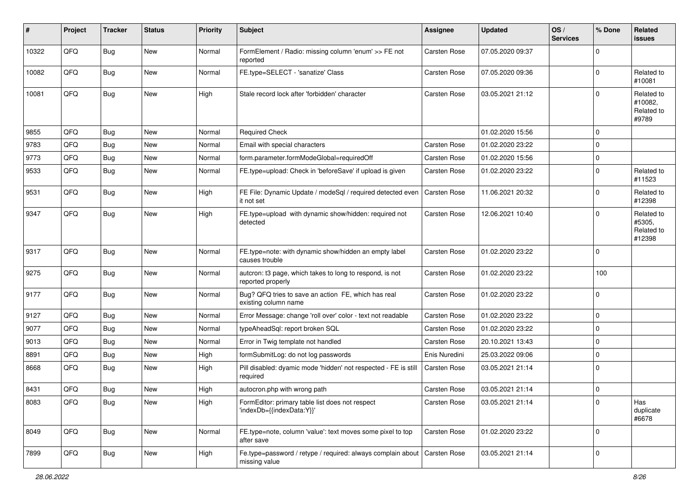| #     | Project | <b>Tracker</b> | <b>Status</b> | <b>Priority</b> | <b>Subject</b>                                                                | Assignee            | <b>Updated</b>   | OS/<br><b>Services</b> | % Done      | Related<br><b>issues</b>                     |
|-------|---------|----------------|---------------|-----------------|-------------------------------------------------------------------------------|---------------------|------------------|------------------------|-------------|----------------------------------------------|
| 10322 | QFQ     | Bug            | <b>New</b>    | Normal          | FormElement / Radio: missing column 'enum' >> FE not<br>reported              | Carsten Rose        | 07.05.2020 09:37 |                        | $\Omega$    |                                              |
| 10082 | QFQ     | Bug            | <b>New</b>    | Normal          | FE.type=SELECT - 'sanatize' Class                                             | Carsten Rose        | 07.05.2020 09:36 |                        | $\Omega$    | Related to<br>#10081                         |
| 10081 | QFQ     | Bug            | New           | High            | Stale record lock after 'forbidden' character                                 | Carsten Rose        | 03.05.2021 21:12 |                        | U           | Related to<br>#10082,<br>Related to<br>#9789 |
| 9855  | QFQ     | <b>Bug</b>     | New           | Normal          | <b>Required Check</b>                                                         |                     | 01.02.2020 15:56 |                        | $\Omega$    |                                              |
| 9783  | QFQ     | <b>Bug</b>     | New           | Normal          | Email with special characters                                                 | Carsten Rose        | 01.02.2020 23:22 |                        | $\mathbf 0$ |                                              |
| 9773  | QFQ     | <b>Bug</b>     | <b>New</b>    | Normal          | form.parameter.formModeGlobal=requiredOff                                     | Carsten Rose        | 01.02.2020 15:56 |                        | $\mathbf 0$ |                                              |
| 9533  | QFQ     | Bug            | New           | Normal          | FE.type=upload: Check in 'beforeSave' if upload is given                      | Carsten Rose        | 01.02.2020 23:22 |                        | 0           | Related to<br>#11523                         |
| 9531  | QFQ     | Bug            | New           | High            | FE File: Dynamic Update / modeSql / required detected even<br>it not set      | Carsten Rose        | 11.06.2021 20:32 |                        | $\Omega$    | Related to<br>#12398                         |
| 9347  | QFQ     | Bug            | <b>New</b>    | High            | FE.type=upload with dynamic show/hidden: required not<br>detected             | Carsten Rose        | 12.06.2021 10:40 |                        | 0           | Related to<br>#5305,<br>Related to<br>#12398 |
| 9317  | QFQ     | Bug            | New           | Normal          | FE.type=note: with dynamic show/hidden an empty label<br>causes trouble       | <b>Carsten Rose</b> | 01.02.2020 23:22 |                        | 0           |                                              |
| 9275  | QFQ     | Bug            | New           | Normal          | autcron: t3 page, which takes to long to respond, is not<br>reported properly | Carsten Rose        | 01.02.2020 23:22 |                        | 100         |                                              |
| 9177  | QFQ     | Bug            | New           | Normal          | Bug? QFQ tries to save an action FE, which has real<br>existing column name   | Carsten Rose        | 01.02.2020 23:22 |                        | $\Omega$    |                                              |
| 9127  | QFQ     | <b>Bug</b>     | New           | Normal          | Error Message: change 'roll over' color - text not readable                   | Carsten Rose        | 01.02.2020 23:22 |                        | $\mathbf 0$ |                                              |
| 9077  | QFQ     | Bug            | New           | Normal          | typeAheadSql: report broken SQL                                               | Carsten Rose        | 01.02.2020 23:22 |                        | 0           |                                              |
| 9013  | QFQ     | <b>Bug</b>     | New           | Normal          | Error in Twig template not handled                                            | Carsten Rose        | 20.10.2021 13:43 |                        | $\mathbf 0$ |                                              |
| 8891  | QFQ     | <b>Bug</b>     | <b>New</b>    | High            | formSubmitLog: do not log passwords                                           | Enis Nuredini       | 25.03.2022 09:06 |                        | $\mathbf 0$ |                                              |
| 8668  | QFQ     | Bug            | New           | High            | Pill disabled: dyamic mode 'hidden' not respected - FE is still<br>required   | Carsten Rose        | 03.05.2021 21:14 |                        | $\Omega$    |                                              |
| 8431  | QFQ     | <b>Bug</b>     | New           | High            | autocron.php with wrong path                                                  | Carsten Rose        | 03.05.2021 21:14 |                        | $\mathbf 0$ |                                              |
| 8083  | QFQ     | Bug            | New           | High            | FormEditor: primary table list does not respect<br>'indexDb={{indexData:Y}}'  | Carsten Rose        | 03.05.2021 21:14 |                        | 0           | Has<br>duplicate<br>#6678                    |
| 8049  | QFQ     | <b>Bug</b>     | New           | Normal          | FE.type=note, column 'value': text moves some pixel to top<br>after save      | Carsten Rose        | 01.02.2020 23:22 |                        | $\mathbf 0$ |                                              |
| 7899  | QFQ     | <b>Bug</b>     | New           | High            | Fe.type=password / retype / required: always complain about<br>missing value  | Carsten Rose        | 03.05.2021 21:14 |                        | $\mathbf 0$ |                                              |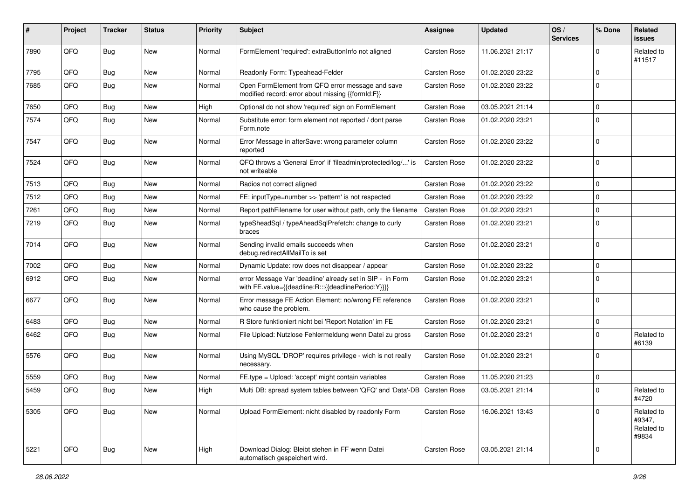| #    | Project | <b>Tracker</b> | <b>Status</b> | <b>Priority</b> | Subject                                                                                                          | <b>Assignee</b>     | <b>Updated</b>   | OS/<br><b>Services</b> | % Done      | Related<br><b>issues</b>                    |
|------|---------|----------------|---------------|-----------------|------------------------------------------------------------------------------------------------------------------|---------------------|------------------|------------------------|-------------|---------------------------------------------|
| 7890 | QFQ     | <b>Bug</b>     | New           | Normal          | FormElement 'required': extraButtonInfo not aligned                                                              | <b>Carsten Rose</b> | 11.06.2021 21:17 |                        | U           | Related to<br>#11517                        |
| 7795 | QFQ     | <b>Bug</b>     | New           | Normal          | Readonly Form: Typeahead-Felder                                                                                  | <b>Carsten Rose</b> | 01.02.2020 23:22 |                        | 0           |                                             |
| 7685 | QFQ     | <b>Bug</b>     | New           | Normal          | Open FormElement from QFQ error message and save<br>modified record: error about missing {{formId:F}}            | Carsten Rose        | 01.02.2020 23:22 |                        | $\Omega$    |                                             |
| 7650 | QFQ     | <b>Bug</b>     | New           | High            | Optional do not show 'required' sign on FormElement                                                              | <b>Carsten Rose</b> | 03.05.2021 21:14 |                        | $\mathbf 0$ |                                             |
| 7574 | QFQ     | <b>Bug</b>     | New           | Normal          | Substitute error: form element not reported / dont parse<br>Form.note                                            | Carsten Rose        | 01.02.2020 23:21 |                        | $\Omega$    |                                             |
| 7547 | QFQ     | Bug            | New           | Normal          | Error Message in afterSave: wrong parameter column<br>reported                                                   | <b>Carsten Rose</b> | 01.02.2020 23:22 |                        | 0           |                                             |
| 7524 | QFQ     | <b>Bug</b>     | New           | Normal          | QFQ throws a 'General Error' if 'fileadmin/protected/log/' is<br>not writeable                                   | <b>Carsten Rose</b> | 01.02.2020 23:22 |                        | $\Omega$    |                                             |
| 7513 | QFQ     | <b>Bug</b>     | New           | Normal          | Radios not correct aligned                                                                                       | <b>Carsten Rose</b> | 01.02.2020 23:22 |                        | $\Omega$    |                                             |
| 7512 | QFQ     | <b>Bug</b>     | New           | Normal          | FE: inputType=number >> 'pattern' is not respected                                                               | Carsten Rose        | 01.02.2020 23:22 |                        | $\mathbf 0$ |                                             |
| 7261 | QFQ     | <b>Bug</b>     | New           | Normal          | Report pathFilename for user without path, only the filename                                                     | <b>Carsten Rose</b> | 01.02.2020 23:21 |                        | $\mathbf 0$ |                                             |
| 7219 | QFQ     | <b>Bug</b>     | New           | Normal          | typeSheadSql / typeAheadSqlPrefetch: change to curly<br>braces                                                   | Carsten Rose        | 01.02.2020 23:21 |                        | 0           |                                             |
| 7014 | QFQ     | <b>Bug</b>     | New           | Normal          | Sending invalid emails succeeds when<br>debug.redirectAllMailTo is set                                           | Carsten Rose        | 01.02.2020 23:21 |                        | $\Omega$    |                                             |
| 7002 | QFQ     | <b>Bug</b>     | <b>New</b>    | Normal          | Dynamic Update: row does not disappear / appear                                                                  | <b>Carsten Rose</b> | 01.02.2020 23:22 |                        | $\mathbf 0$ |                                             |
| 6912 | QFQ     | <b>Bug</b>     | New           | Normal          | error Message Var 'deadline' already set in SIP - in Form<br>with FE.value={{deadline:R:::{{deadlinePeriod:Y}}}} | Carsten Rose        | 01.02.2020 23:21 |                        | 0           |                                             |
| 6677 | QFQ     | <b>Bug</b>     | New           | Normal          | Error message FE Action Element: no/wrong FE reference<br>who cause the problem.                                 | <b>Carsten Rose</b> | 01.02.2020 23:21 |                        | $\mathbf 0$ |                                             |
| 6483 | QFQ     | <b>Bug</b>     | New           | Normal          | R Store funktioniert nicht bei 'Report Notation' im FE                                                           | <b>Carsten Rose</b> | 01.02.2020 23:21 |                        | $\mathbf 0$ |                                             |
| 6462 | QFQ     | <b>Bug</b>     | New           | Normal          | File Upload: Nutzlose Fehlermeldung wenn Datei zu gross                                                          | Carsten Rose        | 01.02.2020 23:21 |                        | 0           | Related to<br>#6139                         |
| 5576 | QFQ     | <b>Bug</b>     | New           | Normal          | Using MySQL 'DROP' requires privilege - wich is not really<br>necessary.                                         | Carsten Rose        | 01.02.2020 23:21 |                        | $\Omega$    |                                             |
| 5559 | QFQ     | <b>Bug</b>     | <b>New</b>    | Normal          | FE.type = Upload: 'accept' might contain variables                                                               | <b>Carsten Rose</b> | 11.05.2020 21:23 |                        | $\Omega$    |                                             |
| 5459 | QFQ     | <b>Bug</b>     | New           | High            | Multi DB: spread system tables between 'QFQ' and 'Data'-DB   Carsten Rose                                        |                     | 03.05.2021 21:14 |                        | $\Omega$    | Related to<br>#4720                         |
| 5305 | QFQ     | <b>Bug</b>     | New           | Normal          | Upload FormElement: nicht disabled by readonly Form                                                              | Carsten Rose        | 16.06.2021 13:43 |                        | $\Omega$    | Related to<br>#9347,<br>Related to<br>#9834 |
| 5221 | QFQ     | <b>Bug</b>     | New           | High            | Download Dialog: Bleibt stehen in FF wenn Datei<br>automatisch gespeichert wird.                                 | Carsten Rose        | 03.05.2021 21:14 |                        | 0           |                                             |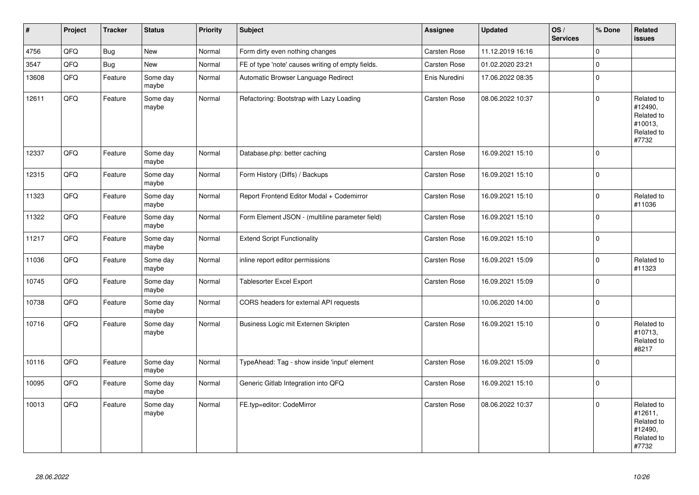| $\vert$ # | Project | <b>Tracker</b> | <b>Status</b>     | <b>Priority</b> | <b>Subject</b>                                    | <b>Assignee</b>     | <b>Updated</b>   | OS/<br><b>Services</b> | % Done         | Related<br>issues                                                     |
|-----------|---------|----------------|-------------------|-----------------|---------------------------------------------------|---------------------|------------------|------------------------|----------------|-----------------------------------------------------------------------|
| 4756      | QFQ     | <b>Bug</b>     | New               | Normal          | Form dirty even nothing changes                   | <b>Carsten Rose</b> | 11.12.2019 16:16 |                        | $\Omega$       |                                                                       |
| 3547      | QFQ     | Bug            | <b>New</b>        | Normal          | FE of type 'note' causes writing of empty fields. | <b>Carsten Rose</b> | 01.02.2020 23:21 |                        | $\mathbf 0$    |                                                                       |
| 13608     | QFO     | Feature        | Some day<br>maybe | Normal          | Automatic Browser Language Redirect               | Enis Nuredini       | 17.06.2022 08:35 |                        | $\Omega$       |                                                                       |
| 12611     | QFQ     | Feature        | Some day<br>maybe | Normal          | Refactoring: Bootstrap with Lazy Loading          | <b>Carsten Rose</b> | 08.06.2022 10:37 |                        | $\Omega$       | Related to<br>#12490,<br>Related to<br>#10013.<br>Related to<br>#7732 |
| 12337     | QFQ     | Feature        | Some day<br>maybe | Normal          | Database.php: better caching                      | <b>Carsten Rose</b> | 16.09.2021 15:10 |                        | $\Omega$       |                                                                       |
| 12315     | QFO     | Feature        | Some day<br>maybe | Normal          | Form History (Diffs) / Backups                    | Carsten Rose        | 16.09.2021 15:10 |                        | $\mathbf 0$    |                                                                       |
| 11323     | QFQ     | Feature        | Some day<br>maybe | Normal          | Report Frontend Editor Modal + Codemirror         | Carsten Rose        | 16.09.2021 15:10 |                        | $\Omega$       | Related to<br>#11036                                                  |
| 11322     | QFQ     | Feature        | Some day<br>maybe | Normal          | Form Element JSON - (multiline parameter field)   | Carsten Rose        | 16.09.2021 15:10 |                        | $\Omega$       |                                                                       |
| 11217     | QFQ     | Feature        | Some day<br>maybe | Normal          | <b>Extend Script Functionality</b>                | <b>Carsten Rose</b> | 16.09.2021 15:10 |                        | $\overline{0}$ |                                                                       |
| 11036     | QFQ     | Feature        | Some day<br>maybe | Normal          | inline report editor permissions                  | <b>Carsten Rose</b> | 16.09.2021 15:09 |                        | $\mathbf 0$    | Related to<br>#11323                                                  |
| 10745     | QFQ     | Feature        | Some day<br>maybe | Normal          | <b>Tablesorter Excel Export</b>                   | <b>Carsten Rose</b> | 16.09.2021 15:09 |                        | $\Omega$       |                                                                       |
| 10738     | QFQ     | Feature        | Some day<br>maybe | Normal          | CORS headers for external API requests            |                     | 10.06.2020 14:00 |                        | $\Omega$       |                                                                       |
| 10716     | QFQ     | Feature        | Some day<br>maybe | Normal          | Business Logic mit Externen Skripten              | <b>Carsten Rose</b> | 16.09.2021 15:10 |                        | $\Omega$       | Related to<br>#10713,<br>Related to<br>#8217                          |
| 10116     | QFQ     | Feature        | Some day<br>maybe | Normal          | TypeAhead: Tag - show inside 'input' element      | Carsten Rose        | 16.09.2021 15:09 |                        | $\Omega$       |                                                                       |
| 10095     | QFQ     | Feature        | Some day<br>maybe | Normal          | Generic Gitlab Integration into QFQ               | <b>Carsten Rose</b> | 16.09.2021 15:10 |                        | $\Omega$       |                                                                       |
| 10013     | QFQ     | Feature        | Some day<br>maybe | Normal          | FE.typ=editor: CodeMirror                         | <b>Carsten Rose</b> | 08.06.2022 10:37 |                        | $\Omega$       | Related to<br>#12611,<br>Related to<br>#12490.<br>Related to<br>#7732 |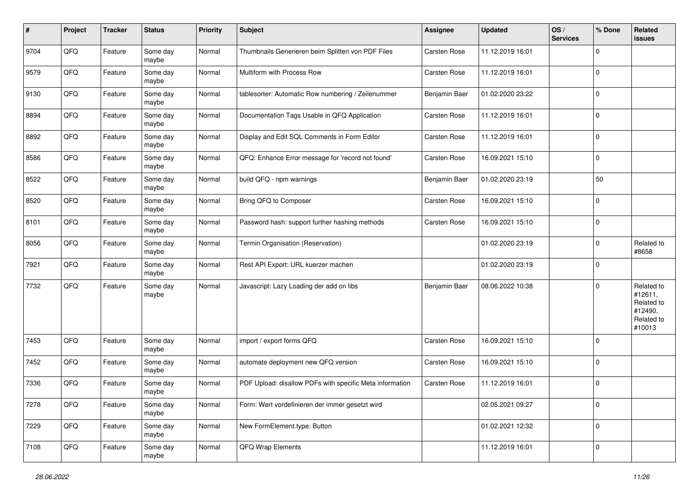| #    | Project | <b>Tracker</b> | <b>Status</b>     | <b>Priority</b> | <b>Subject</b>                                           | <b>Assignee</b>     | <b>Updated</b>   | OS/<br><b>Services</b> | % Done      | Related<br>issues                                                      |
|------|---------|----------------|-------------------|-----------------|----------------------------------------------------------|---------------------|------------------|------------------------|-------------|------------------------------------------------------------------------|
| 9704 | QFQ     | Feature        | Some day<br>maybe | Normal          | Thumbnails Generieren beim Splitten von PDF Files        | Carsten Rose        | 11.12.2019 16:01 |                        | $\mathbf 0$ |                                                                        |
| 9579 | QFQ     | Feature        | Some day<br>maybe | Normal          | Multiform with Process Row                               | Carsten Rose        | 11.12.2019 16:01 |                        | $\mathbf 0$ |                                                                        |
| 9130 | QFQ     | Feature        | Some day<br>maybe | Normal          | tablesorter: Automatic Row numbering / Zeilenummer       | Benjamin Baer       | 01.02.2020 23:22 |                        | 0           |                                                                        |
| 8894 | QFQ     | Feature        | Some day<br>maybe | Normal          | Documentation Tags Usable in QFQ Application             | <b>Carsten Rose</b> | 11.12.2019 16:01 |                        | $\mathbf 0$ |                                                                        |
| 8892 | QFQ     | Feature        | Some day<br>maybe | Normal          | Display and Edit SQL Comments in Form Editor             | <b>Carsten Rose</b> | 11.12.2019 16:01 |                        | $\Omega$    |                                                                        |
| 8586 | QFQ     | Feature        | Some day<br>maybe | Normal          | QFQ: Enhance Error message for 'record not found'        | Carsten Rose        | 16.09.2021 15:10 |                        | $\Omega$    |                                                                        |
| 8522 | QFQ     | Feature        | Some day<br>maybe | Normal          | build QFQ - npm warnings                                 | Benjamin Baer       | 01.02.2020 23:19 |                        | 50          |                                                                        |
| 8520 | QFQ     | Feature        | Some day<br>maybe | Normal          | Bring QFQ to Composer                                    | <b>Carsten Rose</b> | 16.09.2021 15:10 |                        | 0           |                                                                        |
| 8101 | QFQ     | Feature        | Some day<br>maybe | Normal          | Password hash: support further hashing methods           | Carsten Rose        | 16.09.2021 15:10 |                        | 0           |                                                                        |
| 8056 | QFQ     | Feature        | Some day<br>maybe | Normal          | Termin Organisation (Reservation)                        |                     | 01.02.2020 23:19 |                        | 0           | Related to<br>#8658                                                    |
| 7921 | QFQ     | Feature        | Some day<br>maybe | Normal          | Rest API Export: URL kuerzer machen                      |                     | 01.02.2020 23:19 |                        | $\mathbf 0$ |                                                                        |
| 7732 | QFQ     | Feature        | Some day<br>maybe | Normal          | Javascript: Lazy Loading der add on libs                 | Benjamin Baer       | 08.06.2022 10:38 |                        | $\mathbf 0$ | Related to<br>#12611,<br>Related to<br>#12490,<br>Related to<br>#10013 |
| 7453 | QFQ     | Feature        | Some day<br>maybe | Normal          | import / export forms QFQ                                | <b>Carsten Rose</b> | 16.09.2021 15:10 |                        | 0           |                                                                        |
| 7452 | QFQ     | Feature        | Some day<br>maybe | Normal          | automate deployment new QFQ version                      | Carsten Rose        | 16.09.2021 15:10 |                        | $\mathbf 0$ |                                                                        |
| 7336 | QFQ     | Feature        | Some day<br>maybe | Normal          | PDF Upload: disallow PDFs with specific Meta information | Carsten Rose        | 11.12.2019 16:01 |                        | $\mathbf 0$ |                                                                        |
| 7278 | QFG     | Feature        | Some day<br>maybe | Normal          | Form: Wert vordefinieren der immer gesetzt wird          |                     | 02.05.2021 09:27 |                        | $\mathbf 0$ |                                                                        |
| 7229 | QFG     | Feature        | Some day<br>maybe | Normal          | New FormElement.type: Button                             |                     | 01.02.2021 12:32 |                        | $\mathbf 0$ |                                                                        |
| 7108 | QFG     | Feature        | Some day<br>maybe | Normal          | QFQ Wrap Elements                                        |                     | 11.12.2019 16:01 |                        | $\mathbf 0$ |                                                                        |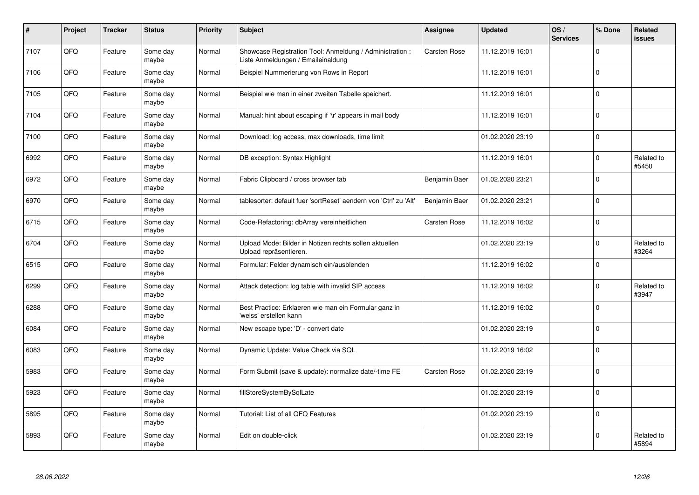| $\vert$ # | Project | <b>Tracker</b> | <b>Status</b>     | <b>Priority</b> | <b>Subject</b>                                                                                 | <b>Assignee</b>     | <b>Updated</b>   | OS/<br><b>Services</b> | % Done   | Related<br>issues   |
|-----------|---------|----------------|-------------------|-----------------|------------------------------------------------------------------------------------------------|---------------------|------------------|------------------------|----------|---------------------|
| 7107      | QFQ     | Feature        | Some day<br>maybe | Normal          | Showcase Registration Tool: Anmeldung / Administration :<br>Liste Anmeldungen / Emaileinaldung | Carsten Rose        | 11.12.2019 16:01 |                        | $\Omega$ |                     |
| 7106      | QFQ     | Feature        | Some day<br>maybe | Normal          | Beispiel Nummerierung von Rows in Report                                                       |                     | 11.12.2019 16:01 |                        | $\Omega$ |                     |
| 7105      | QFQ     | Feature        | Some day<br>maybe | Normal          | Beispiel wie man in einer zweiten Tabelle speichert.                                           |                     | 11.12.2019 16:01 |                        | $\Omega$ |                     |
| 7104      | QFQ     | Feature        | Some day<br>maybe | Normal          | Manual: hint about escaping if '\r' appears in mail body                                       |                     | 11.12.2019 16:01 |                        | $\Omega$ |                     |
| 7100      | QFQ     | Feature        | Some day<br>maybe | Normal          | Download: log access, max downloads, time limit                                                |                     | 01.02.2020 23:19 |                        | $\Omega$ |                     |
| 6992      | QFQ     | Feature        | Some day<br>maybe | Normal          | DB exception: Syntax Highlight                                                                 |                     | 11.12.2019 16:01 |                        | $\Omega$ | Related to<br>#5450 |
| 6972      | QFQ     | Feature        | Some day<br>maybe | Normal          | Fabric Clipboard / cross browser tab                                                           | Benjamin Baer       | 01.02.2020 23:21 |                        | $\Omega$ |                     |
| 6970      | QFQ     | Feature        | Some day<br>maybe | Normal          | tablesorter: default fuer 'sortReset' aendern von 'Ctrl' zu 'Alt'                              | Benjamin Baer       | 01.02.2020 23:21 |                        | $\Omega$ |                     |
| 6715      | QFQ     | Feature        | Some day<br>maybe | Normal          | Code-Refactoring: dbArray vereinheitlichen                                                     | <b>Carsten Rose</b> | 11.12.2019 16:02 |                        | $\Omega$ |                     |
| 6704      | QFQ     | Feature        | Some day<br>maybe | Normal          | Upload Mode: Bilder in Notizen rechts sollen aktuellen<br>Upload repräsentieren.               |                     | 01.02.2020 23:19 |                        | $\Omega$ | Related to<br>#3264 |
| 6515      | QFQ     | Feature        | Some day<br>maybe | Normal          | Formular: Felder dynamisch ein/ausblenden                                                      |                     | 11.12.2019 16:02 |                        | $\Omega$ |                     |
| 6299      | QFQ     | Feature        | Some day<br>maybe | Normal          | Attack detection: log table with invalid SIP access                                            |                     | 11.12.2019 16:02 |                        | $\Omega$ | Related to<br>#3947 |
| 6288      | QFQ     | Feature        | Some day<br>maybe | Normal          | Best Practice: Erklaeren wie man ein Formular ganz in<br>'weiss' erstellen kann                |                     | 11.12.2019 16:02 |                        | $\Omega$ |                     |
| 6084      | QFQ     | Feature        | Some day<br>maybe | Normal          | New escape type: 'D' - convert date                                                            |                     | 01.02.2020 23:19 |                        | $\Omega$ |                     |
| 6083      | QFQ     | Feature        | Some day<br>maybe | Normal          | Dynamic Update: Value Check via SQL                                                            |                     | 11.12.2019 16:02 |                        | $\Omega$ |                     |
| 5983      | QFQ     | Feature        | Some day<br>maybe | Normal          | Form Submit (save & update): normalize date/-time FE                                           | <b>Carsten Rose</b> | 01.02.2020 23:19 |                        | $\Omega$ |                     |
| 5923      | QFQ     | Feature        | Some day<br>maybe | Normal          | fillStoreSystemBySqlLate                                                                       |                     | 01.02.2020 23:19 |                        | $\Omega$ |                     |
| 5895      | QFQ     | Feature        | Some day<br>maybe | Normal          | Tutorial: List of all QFQ Features                                                             |                     | 01.02.2020 23:19 |                        | $\Omega$ |                     |
| 5893      | QFQ     | Feature        | Some day<br>maybe | Normal          | Edit on double-click                                                                           |                     | 01.02.2020 23:19 |                        | $\Omega$ | Related to<br>#5894 |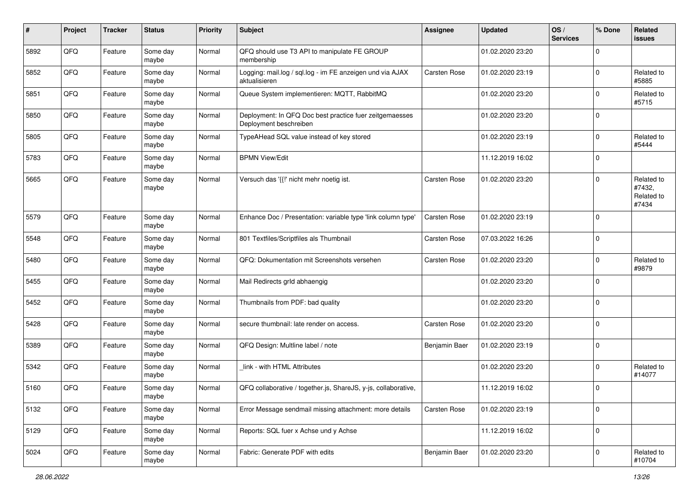| #    | Project | <b>Tracker</b> | <b>Status</b>     | <b>Priority</b> | <b>Subject</b>                                                                    | <b>Assignee</b>     | <b>Updated</b>   | OS/<br><b>Services</b> | % Done      | Related<br>issues                           |
|------|---------|----------------|-------------------|-----------------|-----------------------------------------------------------------------------------|---------------------|------------------|------------------------|-------------|---------------------------------------------|
| 5892 | QFQ     | Feature        | Some day<br>maybe | Normal          | QFQ should use T3 API to manipulate FE GROUP<br>membership                        |                     | 01.02.2020 23:20 |                        | $\Omega$    |                                             |
| 5852 | QFQ     | Feature        | Some day<br>maybe | Normal          | Logging: mail.log / sql.log - im FE anzeigen und via AJAX<br>aktualisieren        | <b>Carsten Rose</b> | 01.02.2020 23:19 |                        | $\Omega$    | Related to<br>#5885                         |
| 5851 | QFQ     | Feature        | Some day<br>maybe | Normal          | Queue System implementieren: MQTT, RabbitMQ                                       |                     | 01.02.2020 23:20 |                        | 0           | Related to<br>#5715                         |
| 5850 | QFQ     | Feature        | Some day<br>maybe | Normal          | Deployment: In QFQ Doc best practice fuer zeitgemaesses<br>Deployment beschreiben |                     | 01.02.2020 23:20 |                        | $\Omega$    |                                             |
| 5805 | QFQ     | Feature        | Some day<br>maybe | Normal          | TypeAHead SQL value instead of key stored                                         |                     | 01.02.2020 23:19 |                        | $\Omega$    | Related to<br>#5444                         |
| 5783 | QFQ     | Feature        | Some day<br>maybe | Normal          | <b>BPMN View/Edit</b>                                                             |                     | 11.12.2019 16:02 |                        | $\Omega$    |                                             |
| 5665 | QFQ     | Feature        | Some day<br>maybe | Normal          | Versuch das '{{" nicht mehr noetig ist.                                           | Carsten Rose        | 01.02.2020 23:20 |                        | $\Omega$    | Related to<br>#7432,<br>Related to<br>#7434 |
| 5579 | QFQ     | Feature        | Some day<br>maybe | Normal          | Enhance Doc / Presentation: variable type 'link column type'                      | <b>Carsten Rose</b> | 01.02.2020 23:19 |                        | $\Omega$    |                                             |
| 5548 | QFQ     | Feature        | Some day<br>maybe | Normal          | 801 Textfiles/Scriptfiles als Thumbnail                                           | <b>Carsten Rose</b> | 07.03.2022 16:26 |                        | $\Omega$    |                                             |
| 5480 | QFQ     | Feature        | Some day<br>maybe | Normal          | QFQ: Dokumentation mit Screenshots versehen                                       | <b>Carsten Rose</b> | 01.02.2020 23:20 |                        | $\mathbf 0$ | Related to<br>#9879                         |
| 5455 | QFQ     | Feature        | Some day<br>maybe | Normal          | Mail Redirects grld abhaengig                                                     |                     | 01.02.2020 23:20 |                        | 0           |                                             |
| 5452 | QFQ     | Feature        | Some day<br>maybe | Normal          | Thumbnails from PDF: bad quality                                                  |                     | 01.02.2020 23:20 |                        | $\Omega$    |                                             |
| 5428 | QFQ     | Feature        | Some day<br>maybe | Normal          | secure thumbnail: late render on access.                                          | Carsten Rose        | 01.02.2020 23:20 |                        | $\Omega$    |                                             |
| 5389 | QFQ     | Feature        | Some day<br>maybe | Normal          | QFQ Design: Multline label / note                                                 | Benjamin Baer       | 01.02.2020 23:19 |                        | $\Omega$    |                                             |
| 5342 | QFQ     | Feature        | Some day<br>maybe | Normal          | link - with HTML Attributes                                                       |                     | 01.02.2020 23:20 |                        | $\Omega$    | Related to<br>#14077                        |
| 5160 | QFQ     | Feature        | Some day<br>maybe | Normal          | QFQ collaborative / together.js, ShareJS, y-js, collaborative,                    |                     | 11.12.2019 16:02 |                        | $\Omega$    |                                             |
| 5132 | QFQ     | Feature        | Some day<br>maybe | Normal          | Error Message sendmail missing attachment: more details                           | <b>Carsten Rose</b> | 01.02.2020 23:19 |                        | $\mathbf 0$ |                                             |
| 5129 | QFQ     | Feature        | Some day<br>maybe | Normal          | Reports: SQL fuer x Achse und y Achse                                             |                     | 11.12.2019 16:02 |                        | $\mathbf 0$ |                                             |
| 5024 | QFQ     | Feature        | Some day<br>maybe | Normal          | Fabric: Generate PDF with edits                                                   | Benjamin Baer       | 01.02.2020 23:20 |                        | $\mathbf 0$ | Related to<br>#10704                        |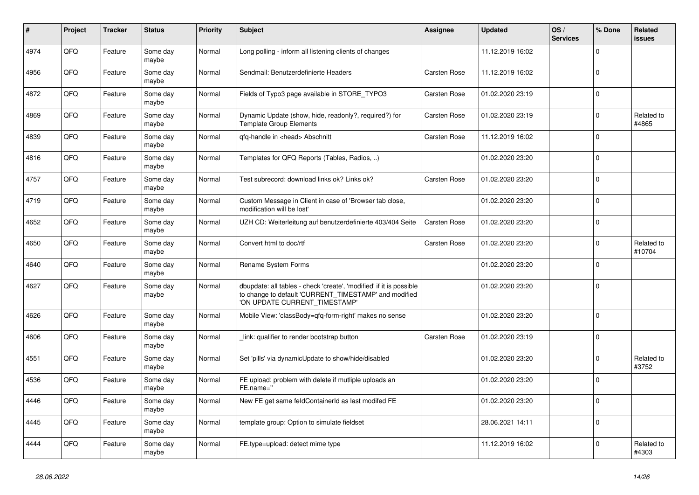| $\pmb{\sharp}$ | Project | <b>Tracker</b> | <b>Status</b>     | <b>Priority</b> | <b>Subject</b>                                                                                                                                                | Assignee            | <b>Updated</b>   | OS/<br><b>Services</b> | % Done      | Related<br>issues    |
|----------------|---------|----------------|-------------------|-----------------|---------------------------------------------------------------------------------------------------------------------------------------------------------------|---------------------|------------------|------------------------|-------------|----------------------|
| 4974           | QFQ     | Feature        | Some day<br>maybe | Normal          | Long polling - inform all listening clients of changes                                                                                                        |                     | 11.12.2019 16:02 |                        | $\Omega$    |                      |
| 4956           | QFQ     | Feature        | Some day<br>maybe | Normal          | Sendmail: Benutzerdefinierte Headers                                                                                                                          | <b>Carsten Rose</b> | 11.12.2019 16:02 |                        | $\Omega$    |                      |
| 4872           | QFQ     | Feature        | Some day<br>maybe | Normal          | Fields of Typo3 page available in STORE_TYPO3                                                                                                                 | <b>Carsten Rose</b> | 01.02.2020 23:19 |                        | $\Omega$    |                      |
| 4869           | QFQ     | Feature        | Some day<br>maybe | Normal          | Dynamic Update (show, hide, readonly?, required?) for<br><b>Template Group Elements</b>                                                                       | <b>Carsten Rose</b> | 01.02.2020 23:19 |                        | $\Omega$    | Related to<br>#4865  |
| 4839           | QFQ     | Feature        | Some day<br>maybe | Normal          | qfq-handle in <head> Abschnitt</head>                                                                                                                         | Carsten Rose        | 11.12.2019 16:02 |                        | $\mathbf 0$ |                      |
| 4816           | QFQ     | Feature        | Some day<br>maybe | Normal          | Templates for QFQ Reports (Tables, Radios, )                                                                                                                  |                     | 01.02.2020 23:20 |                        | $\Omega$    |                      |
| 4757           | QFQ     | Feature        | Some day<br>maybe | Normal          | Test subrecord: download links ok? Links ok?                                                                                                                  | <b>Carsten Rose</b> | 01.02.2020 23:20 |                        | $\Omega$    |                      |
| 4719           | QFQ     | Feature        | Some day<br>maybe | Normal          | Custom Message in Client in case of 'Browser tab close,<br>modification will be lost'                                                                         |                     | 01.02.2020 23:20 |                        | $\Omega$    |                      |
| 4652           | QFQ     | Feature        | Some day<br>maybe | Normal          | UZH CD: Weiterleitung auf benutzerdefinierte 403/404 Seite                                                                                                    | <b>Carsten Rose</b> | 01.02.2020 23:20 |                        | $\Omega$    |                      |
| 4650           | QFQ     | Feature        | Some day<br>maybe | Normal          | Convert html to doc/rtf                                                                                                                                       | Carsten Rose        | 01.02.2020 23:20 |                        | $\Omega$    | Related to<br>#10704 |
| 4640           | QFQ     | Feature        | Some day<br>maybe | Normal          | <b>Rename System Forms</b>                                                                                                                                    |                     | 01.02.2020 23:20 |                        | $\Omega$    |                      |
| 4627           | QFQ     | Feature        | Some day<br>maybe | Normal          | dbupdate: all tables - check 'create', 'modified' if it is possible<br>to change to default 'CURRENT_TIMESTAMP' and modified<br>'ON UPDATE CURRENT_TIMESTAMP' |                     | 01.02.2020 23:20 |                        | $\Omega$    |                      |
| 4626           | QFQ     | Feature        | Some day<br>maybe | Normal          | Mobile View: 'classBody=qfq-form-right' makes no sense                                                                                                        |                     | 01.02.2020 23:20 |                        | $\Omega$    |                      |
| 4606           | QFQ     | Feature        | Some day<br>maybe | Normal          | link: qualifier to render bootstrap button                                                                                                                    | <b>Carsten Rose</b> | 01.02.2020 23:19 |                        | $\Omega$    |                      |
| 4551           | QFQ     | Feature        | Some day<br>maybe | Normal          | Set 'pills' via dynamicUpdate to show/hide/disabled                                                                                                           |                     | 01.02.2020 23:20 |                        | $\mathbf 0$ | Related to<br>#3752  |
| 4536           | QFQ     | Feature        | Some day<br>maybe | Normal          | FE upload: problem with delete if mutliple uploads an<br>FE.name="                                                                                            |                     | 01.02.2020 23:20 |                        | $\mathbf 0$ |                      |
| 4446           | QFQ     | Feature        | Some day<br>maybe | Normal          | New FE get same feldContainerId as last modifed FE                                                                                                            |                     | 01.02.2020 23:20 |                        | $\Omega$    |                      |
| 4445           | QFQ     | Feature        | Some day<br>maybe | Normal          | template group: Option to simulate fieldset                                                                                                                   |                     | 28.06.2021 14:11 |                        | $\mathbf 0$ |                      |
| 4444           | QFQ     | Feature        | Some day<br>maybe | Normal          | FE.type=upload: detect mime type                                                                                                                              |                     | 11.12.2019 16:02 |                        | $\Omega$    | Related to<br>#4303  |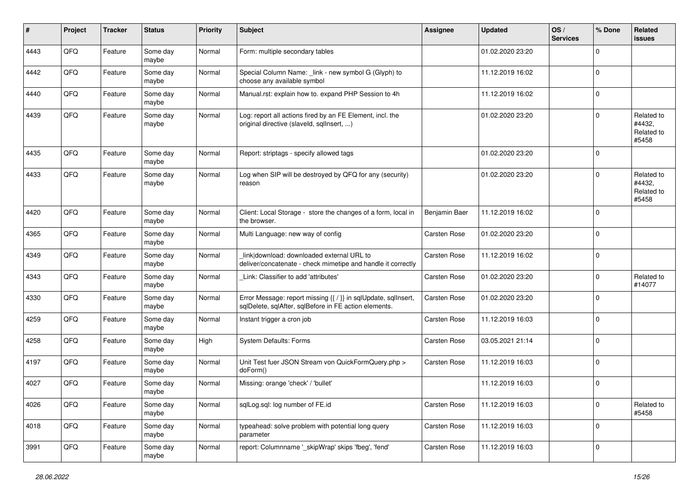| #    | Project | <b>Tracker</b> | <b>Status</b>     | <b>Priority</b> | <b>Subject</b>                                                                                                          | Assignee            | <b>Updated</b>   | OS/<br><b>Services</b> | % Done      | Related<br><b>issues</b>                    |
|------|---------|----------------|-------------------|-----------------|-------------------------------------------------------------------------------------------------------------------------|---------------------|------------------|------------------------|-------------|---------------------------------------------|
| 4443 | QFQ     | Feature        | Some day<br>maybe | Normal          | Form: multiple secondary tables                                                                                         |                     | 01.02.2020 23:20 |                        | $\Omega$    |                                             |
| 4442 | QFQ     | Feature        | Some day<br>maybe | Normal          | Special Column Name: _link - new symbol G (Glyph) to<br>choose any available symbol                                     |                     | 11.12.2019 16:02 |                        | l 0         |                                             |
| 4440 | QFQ     | Feature        | Some day<br>maybe | Normal          | Manual.rst: explain how to. expand PHP Session to 4h                                                                    |                     | 11.12.2019 16:02 |                        | $\Omega$    |                                             |
| 4439 | QFQ     | Feature        | Some day<br>maybe | Normal          | Log: report all actions fired by an FE Element, incl. the<br>original directive (slaveld, sqllnsert, )                  |                     | 01.02.2020 23:20 |                        | $\Omega$    | Related to<br>#4432,<br>Related to<br>#5458 |
| 4435 | QFQ     | Feature        | Some day<br>maybe | Normal          | Report: striptags - specify allowed tags                                                                                |                     | 01.02.2020 23:20 |                        | $\Omega$    |                                             |
| 4433 | QFQ     | Feature        | Some day<br>maybe | Normal          | Log when SIP will be destroyed by QFQ for any (security)<br>reason                                                      |                     | 01.02.2020 23:20 |                        | $\Omega$    | Related to<br>#4432,<br>Related to<br>#5458 |
| 4420 | QFQ     | Feature        | Some day<br>maybe | Normal          | Client: Local Storage - store the changes of a form, local in<br>the browser.                                           | Benjamin Baer       | 11.12.2019 16:02 |                        | $\mathbf 0$ |                                             |
| 4365 | QFQ     | Feature        | Some day<br>maybe | Normal          | Multi Language: new way of config                                                                                       | <b>Carsten Rose</b> | 01.02.2020 23:20 |                        | 0           |                                             |
| 4349 | QFQ     | Feature        | Some day<br>maybe | Normal          | link download: downloaded external URL to<br>deliver/concatenate - check mimetipe and handle it correctly               | <b>Carsten Rose</b> | 11.12.2019 16:02 |                        | $\Omega$    |                                             |
| 4343 | QFQ     | Feature        | Some day<br>maybe | Normal          | Link: Classifier to add 'attributes'                                                                                    | <b>Carsten Rose</b> | 01.02.2020 23:20 |                        | $\mathbf 0$ | Related to<br>#14077                        |
| 4330 | QFQ     | Feature        | Some day<br>maybe | Normal          | Error Message: report missing {{ / }} in sqlUpdate, sqlInsert,<br>sqlDelete, sqlAfter, sqlBefore in FE action elements. | Carsten Rose        | 01.02.2020 23:20 |                        | $\Omega$    |                                             |
| 4259 | QFQ     | Feature        | Some day<br>maybe | Normal          | Instant trigger a cron job                                                                                              | Carsten Rose        | 11.12.2019 16:03 |                        | $\mathbf 0$ |                                             |
| 4258 | QFQ     | Feature        | Some day<br>maybe | High            | <b>System Defaults: Forms</b>                                                                                           | <b>Carsten Rose</b> | 03.05.2021 21:14 |                        | l 0         |                                             |
| 4197 | QFQ     | Feature        | Some day<br>maybe | Normal          | Unit Test fuer JSON Stream von QuickFormQuery.php ><br>doForm()                                                         | <b>Carsten Rose</b> | 11.12.2019 16:03 |                        | l 0         |                                             |
| 4027 | QFQ     | Feature        | Some day<br>maybe | Normal          | Missing: orange 'check' / 'bullet'                                                                                      |                     | 11.12.2019 16:03 |                        | $\Omega$    |                                             |
| 4026 | QFG     | Feature        | Some day<br>maybe | Normal          | sqlLog.sql: log number of FE.id                                                                                         | Carsten Rose        | 11.12.2019 16:03 |                        | 0           | Related to<br>#5458                         |
| 4018 | QFO     | Feature        | Some day<br>maybe | Normal          | typeahead: solve problem with potential long query<br>parameter                                                         | Carsten Rose        | 11.12.2019 16:03 |                        | 0           |                                             |
| 3991 | QFQ     | Feature        | Some day<br>maybe | Normal          | report: Columnname '_skipWrap' skips 'fbeg', 'fend'                                                                     | Carsten Rose        | 11.12.2019 16:03 |                        | $\mathbf 0$ |                                             |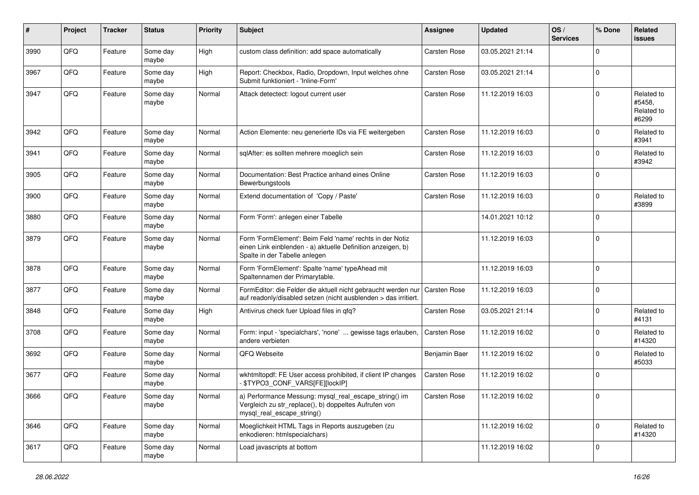| $\#$ | Project | <b>Tracker</b> | <b>Status</b>     | <b>Priority</b> | <b>Subject</b>                                                                                                                                           | Assignee            | <b>Updated</b>   | OS/<br><b>Services</b> | % Done      | Related<br>issues                           |
|------|---------|----------------|-------------------|-----------------|----------------------------------------------------------------------------------------------------------------------------------------------------------|---------------------|------------------|------------------------|-------------|---------------------------------------------|
| 3990 | QFQ     | Feature        | Some day<br>maybe | High            | custom class definition: add space automatically                                                                                                         | <b>Carsten Rose</b> | 03.05.2021 21:14 |                        | $\Omega$    |                                             |
| 3967 | QFQ     | Feature        | Some day<br>maybe | High            | Report: Checkbox, Radio, Dropdown, Input welches ohne<br>Submit funktioniert - 'Inline-Form'                                                             | <b>Carsten Rose</b> | 03.05.2021 21:14 |                        | $\mathbf 0$ |                                             |
| 3947 | QFQ     | Feature        | Some day<br>maybe | Normal          | Attack detectect: logout current user                                                                                                                    | <b>Carsten Rose</b> | 11.12.2019 16:03 |                        | $\Omega$    | Related to<br>#5458,<br>Related to<br>#6299 |
| 3942 | QFQ     | Feature        | Some day<br>maybe | Normal          | Action Elemente: neu generierte IDs via FE weitergeben                                                                                                   | <b>Carsten Rose</b> | 11.12.2019 16:03 |                        | $\Omega$    | Related to<br>#3941                         |
| 3941 | QFQ     | Feature        | Some day<br>maybe | Normal          | sqlAfter: es sollten mehrere moeglich sein                                                                                                               | <b>Carsten Rose</b> | 11.12.2019 16:03 |                        | $\Omega$    | Related to<br>#3942                         |
| 3905 | QFQ     | Feature        | Some day<br>maybe | Normal          | Documentation: Best Practice anhand eines Online<br>Bewerbungstools                                                                                      | <b>Carsten Rose</b> | 11.12.2019 16:03 |                        | $\Omega$    |                                             |
| 3900 | QFQ     | Feature        | Some day<br>maybe | Normal          | Extend documentation of 'Copy / Paste'                                                                                                                   | <b>Carsten Rose</b> | 11.12.2019 16:03 |                        | $\Omega$    | Related to<br>#3899                         |
| 3880 | QFQ     | Feature        | Some day<br>maybe | Normal          | Form 'Form': anlegen einer Tabelle                                                                                                                       |                     | 14.01.2021 10:12 |                        | $\Omega$    |                                             |
| 3879 | QFQ     | Feature        | Some day<br>maybe | Normal          | Form 'FormElement': Beim Feld 'name' rechts in der Notiz<br>einen Link einblenden - a) aktuelle Definition anzeigen, b)<br>Spalte in der Tabelle anlegen |                     | 11.12.2019 16:03 |                        | $\Omega$    |                                             |
| 3878 | QFQ     | Feature        | Some day<br>maybe | Normal          | Form 'FormElement': Spalte 'name' typeAhead mit<br>Spaltennamen der Primarytable.                                                                        |                     | 11.12.2019 16:03 |                        | $\Omega$    |                                             |
| 3877 | QFQ     | Feature        | Some day<br>maybe | Normal          | FormEditor: die Felder die aktuell nicht gebraucht werden nur<br>auf readonly/disabled setzen (nicht ausblenden > das irritiert.                         | Carsten Rose        | 11.12.2019 16:03 |                        | $\mathbf 0$ |                                             |
| 3848 | QFQ     | Feature        | Some day<br>maybe | High            | Antivirus check fuer Upload files in qfq?                                                                                                                | <b>Carsten Rose</b> | 03.05.2021 21:14 |                        | $\mathbf 0$ | Related to<br>#4131                         |
| 3708 | QFQ     | Feature        | Some day<br>maybe | Normal          | Form: input - 'specialchars', 'none'  gewisse tags erlauben,<br>andere verbieten                                                                         | <b>Carsten Rose</b> | 11.12.2019 16:02 |                        | $\Omega$    | Related to<br>#14320                        |
| 3692 | QFQ     | Feature        | Some day<br>maybe | Normal          | QFQ Webseite                                                                                                                                             | Benjamin Baer       | 11.12.2019 16:02 |                        | $\Omega$    | Related to<br>#5033                         |
| 3677 | QFQ     | Feature        | Some day<br>maybe | Normal          | wkhtmltopdf: FE User access prohibited, if client IP changes<br>\$TYPO3_CONF_VARS[FE][lockIP]                                                            | <b>Carsten Rose</b> | 11.12.2019 16:02 |                        | $\Omega$    |                                             |
| 3666 | QFQ     | Feature        | Some day<br>maybe | Normal          | a) Performance Messung: mysql_real_escape_string() im<br>Vergleich zu str_replace(), b) doppeltes Aufrufen von<br>mysql_real_escape_string()             | Carsten Rose        | 11.12.2019 16:02 |                        | ΙUΙ         |                                             |
| 3646 | QFQ     | Feature        | Some day<br>maybe | Normal          | Moeglichkeit HTML Tags in Reports auszugeben (zu<br>enkodieren: htmlspecialchars)                                                                        |                     | 11.12.2019 16:02 |                        | $\mathbf 0$ | Related to<br>#14320                        |
| 3617 | QFQ     | Feature        | Some day<br>maybe | Normal          | Load javascripts at bottom                                                                                                                               |                     | 11.12.2019 16:02 |                        | $\mathbf 0$ |                                             |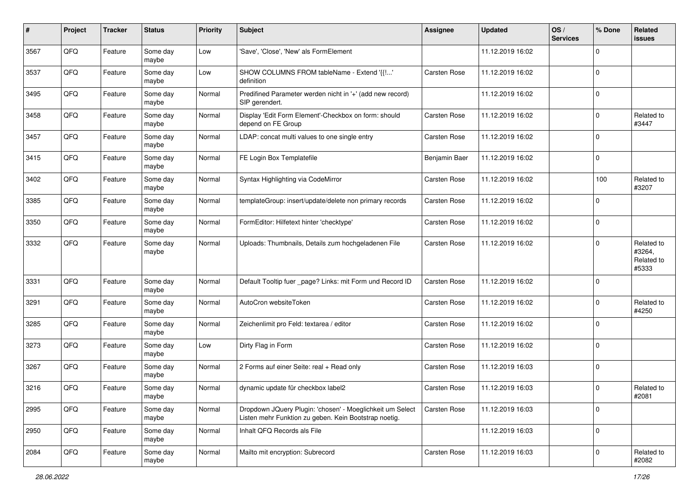| #    | Project | <b>Tracker</b> | <b>Status</b>     | <b>Priority</b> | <b>Subject</b>                                                                                                     | Assignee            | <b>Updated</b>   | OS/<br><b>Services</b> | % Done         | Related<br>issues                           |
|------|---------|----------------|-------------------|-----------------|--------------------------------------------------------------------------------------------------------------------|---------------------|------------------|------------------------|----------------|---------------------------------------------|
| 3567 | QFQ     | Feature        | Some day<br>maybe | Low             | 'Save', 'Close', 'New' als FormElement                                                                             |                     | 11.12.2019 16:02 |                        | $\Omega$       |                                             |
| 3537 | QFQ     | Feature        | Some day<br>maybe | Low             | SHOW COLUMNS FROM tableName - Extend '{{!'<br>definition                                                           | <b>Carsten Rose</b> | 11.12.2019 16:02 |                        | $\mathbf 0$    |                                             |
| 3495 | QFQ     | Feature        | Some day<br>maybe | Normal          | Predifined Parameter werden nicht in '+' (add new record)<br>SIP gerendert.                                        |                     | 11.12.2019 16:02 |                        | 0              |                                             |
| 3458 | QFQ     | Feature        | Some day<br>maybe | Normal          | Display 'Edit Form Element'-Checkbox on form: should<br>depend on FE Group                                         | <b>Carsten Rose</b> | 11.12.2019 16:02 |                        | $\Omega$       | Related to<br>#3447                         |
| 3457 | QFQ     | Feature        | Some day<br>maybe | Normal          | LDAP: concat multi values to one single entry                                                                      | <b>Carsten Rose</b> | 11.12.2019 16:02 |                        | $\mathbf 0$    |                                             |
| 3415 | QFQ     | Feature        | Some day<br>maybe | Normal          | FE Login Box Templatefile                                                                                          | Benjamin Baer       | 11.12.2019 16:02 |                        | $\Omega$       |                                             |
| 3402 | QFQ     | Feature        | Some day<br>maybe | Normal          | Syntax Highlighting via CodeMirror                                                                                 | <b>Carsten Rose</b> | 11.12.2019 16:02 |                        | 100            | Related to<br>#3207                         |
| 3385 | QFQ     | Feature        | Some day<br>maybe | Normal          | templateGroup: insert/update/delete non primary records                                                            | Carsten Rose        | 11.12.2019 16:02 |                        | $\Omega$       |                                             |
| 3350 | QFQ     | Feature        | Some day<br>maybe | Normal          | FormEditor: Hilfetext hinter 'checktype'                                                                           | <b>Carsten Rose</b> | 11.12.2019 16:02 |                        | 0              |                                             |
| 3332 | QFQ     | Feature        | Some day<br>maybe | Normal          | Uploads: Thumbnails, Details zum hochgeladenen File                                                                | <b>Carsten Rose</b> | 11.12.2019 16:02 |                        | $\Omega$       | Related to<br>#3264,<br>Related to<br>#5333 |
| 3331 | QFQ     | Feature        | Some day<br>maybe | Normal          | Default Tooltip fuer _page? Links: mit Form und Record ID                                                          | <b>Carsten Rose</b> | 11.12.2019 16:02 |                        | $\overline{0}$ |                                             |
| 3291 | QFQ     | Feature        | Some day<br>maybe | Normal          | AutoCron websiteToken                                                                                              | <b>Carsten Rose</b> | 11.12.2019 16:02 |                        | $\Omega$       | Related to<br>#4250                         |
| 3285 | QFQ     | Feature        | Some day<br>maybe | Normal          | Zeichenlimit pro Feld: textarea / editor                                                                           | <b>Carsten Rose</b> | 11.12.2019 16:02 |                        | $\Omega$       |                                             |
| 3273 | QFQ     | Feature        | Some day<br>maybe | Low             | Dirty Flag in Form                                                                                                 | Carsten Rose        | 11.12.2019 16:02 |                        | $\Omega$       |                                             |
| 3267 | QFQ     | Feature        | Some day<br>maybe | Normal          | 2 Forms auf einer Seite: real + Read only                                                                          | Carsten Rose        | 11.12.2019 16:03 |                        | $\mathbf 0$    |                                             |
| 3216 | QFQ     | Feature        | Some day<br>maybe | Normal          | dynamic update für checkbox label2                                                                                 | <b>Carsten Rose</b> | 11.12.2019 16:03 |                        | $\Omega$       | Related to<br>#2081                         |
| 2995 | QFQ     | Feature        | Some day<br>maybe | Normal          | Dropdown JQuery Plugin: 'chosen' - Moeglichkeit um Select<br>Listen mehr Funktion zu geben. Kein Bootstrap noetig. | <b>Carsten Rose</b> | 11.12.2019 16:03 |                        | 0              |                                             |
| 2950 | QFQ     | Feature        | Some day<br>maybe | Normal          | Inhalt QFQ Records als File                                                                                        |                     | 11.12.2019 16:03 |                        | 0              |                                             |
| 2084 | QFG     | Feature        | Some day<br>maybe | Normal          | Mailto mit encryption: Subrecord                                                                                   | Carsten Rose        | 11.12.2019 16:03 |                        | $\mathbf 0$    | Related to<br>#2082                         |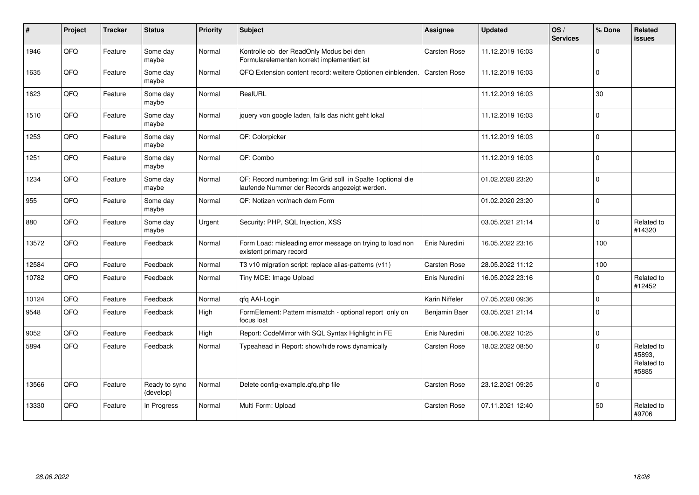| $\sharp$ | Project | <b>Tracker</b> | <b>Status</b>              | <b>Priority</b> | <b>Subject</b>                                                                                               | Assignee            | <b>Updated</b>   | OS/<br><b>Services</b> | % Done      | Related<br><b>issues</b>                    |
|----------|---------|----------------|----------------------------|-----------------|--------------------------------------------------------------------------------------------------------------|---------------------|------------------|------------------------|-------------|---------------------------------------------|
| 1946     | QFQ     | Feature        | Some day<br>maybe          | Normal          | Kontrolle ob der ReadOnly Modus bei den<br>Formularelementen korrekt implementiert ist                       | Carsten Rose        | 11.12.2019 16:03 |                        | $\Omega$    |                                             |
| 1635     | QFQ     | Feature        | Some day<br>maybe          | Normal          | QFQ Extension content record: weitere Optionen einblenden.                                                   | Carsten Rose        | 11.12.2019 16:03 |                        | $\Omega$    |                                             |
| 1623     | QFQ     | Feature        | Some day<br>maybe          | Normal          | RealURL                                                                                                      |                     | 11.12.2019 16:03 |                        | 30          |                                             |
| 1510     | QFQ     | Feature        | Some day<br>maybe          | Normal          | jquery von google laden, falls das nicht geht lokal                                                          |                     | 11.12.2019 16:03 |                        | $\Omega$    |                                             |
| 1253     | QFQ     | Feature        | Some day<br>maybe          | Normal          | QF: Colorpicker                                                                                              |                     | 11.12.2019 16:03 |                        | $\Omega$    |                                             |
| 1251     | QFQ     | Feature        | Some day<br>maybe          | Normal          | QF: Combo                                                                                                    |                     | 11.12.2019 16:03 |                        | $\Omega$    |                                             |
| 1234     | QFG     | Feature        | Some day<br>maybe          | Normal          | QF: Record numbering: Im Grid soll in Spalte 1 optional die<br>laufende Nummer der Records angezeigt werden. |                     | 01.02.2020 23:20 |                        | $\mathbf 0$ |                                             |
| 955      | QFQ     | Feature        | Some day<br>maybe          | Normal          | QF: Notizen vor/nach dem Form                                                                                |                     | 01.02.2020 23:20 |                        | $\mathbf 0$ |                                             |
| 880      | QFQ     | Feature        | Some day<br>maybe          | Urgent          | Security: PHP, SQL Injection, XSS                                                                            |                     | 03.05.2021 21:14 |                        | $\Omega$    | Related to<br>#14320                        |
| 13572    | QFQ     | Feature        | Feedback                   | Normal          | Form Load: misleading error message on trying to load non<br>existent primary record                         | Enis Nuredini       | 16.05.2022 23:16 |                        | 100         |                                             |
| 12584    | QFQ     | Feature        | Feedback                   | Normal          | T3 v10 migration script: replace alias-patterns (v11)                                                        | <b>Carsten Rose</b> | 28.05.2022 11:12 |                        | 100         |                                             |
| 10782    | QFQ     | Feature        | Feedback                   | Normal          | Tiny MCE: Image Upload                                                                                       | Enis Nuredini       | 16.05.2022 23:16 |                        | $\Omega$    | Related to<br>#12452                        |
| 10124    | QFQ     | Feature        | Feedback                   | Normal          | qfq AAI-Login                                                                                                | Karin Niffeler      | 07.05.2020 09:36 |                        | $\mathbf 0$ |                                             |
| 9548     | QFQ     | Feature        | Feedback                   | High            | FormElement: Pattern mismatch - optional report only on<br>focus lost                                        | Benjamin Baer       | 03.05.2021 21:14 |                        | $\Omega$    |                                             |
| 9052     | QFQ     | Feature        | Feedback                   | High            | Report: CodeMirror with SQL Syntax Highlight in FE                                                           | Enis Nuredini       | 08.06.2022 10:25 |                        | $\Omega$    |                                             |
| 5894     | QFQ     | Feature        | Feedback                   | Normal          | Typeahead in Report: show/hide rows dynamically                                                              | Carsten Rose        | 18.02.2022 08:50 |                        | $\Omega$    | Related to<br>#5893,<br>Related to<br>#5885 |
| 13566    | QFQ     | Feature        | Ready to sync<br>(develop) | Normal          | Delete config-example.qfq.php file                                                                           | <b>Carsten Rose</b> | 23.12.2021 09:25 |                        | $\mathbf 0$ |                                             |
| 13330    | QFQ     | Feature        | In Progress                | Normal          | Multi Form: Upload                                                                                           | Carsten Rose        | 07.11.2021 12:40 |                        | 50          | Related to<br>#9706                         |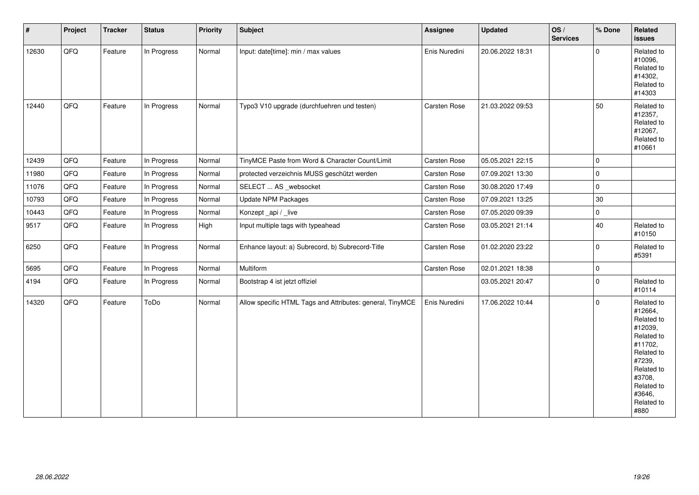| $\vert$ # | Project | <b>Tracker</b> | <b>Status</b> | Priority | <b>Subject</b>                                            | Assignee      | <b>Updated</b>   | OS/<br><b>Services</b> | % Done      | Related<br>issues                                                                                                                                                     |
|-----------|---------|----------------|---------------|----------|-----------------------------------------------------------|---------------|------------------|------------------------|-------------|-----------------------------------------------------------------------------------------------------------------------------------------------------------------------|
| 12630     | QFQ     | Feature        | In Progress   | Normal   | Input: date[time]: min / max values                       | Enis Nuredini | 20.06.2022 18:31 |                        | $\mathbf 0$ | Related to<br>#10096,<br>Related to<br>#14302,<br>Related to<br>#14303                                                                                                |
| 12440     | QFQ     | Feature        | In Progress   | Normal   | Typo3 V10 upgrade (durchfuehren und testen)               | Carsten Rose  | 21.03.2022 09:53 |                        | 50          | Related to<br>#12357,<br>Related to<br>#12067,<br>Related to<br>#10661                                                                                                |
| 12439     | QFQ     | Feature        | In Progress   | Normal   | TinyMCE Paste from Word & Character Count/Limit           | Carsten Rose  | 05.05.2021 22:15 |                        | $\mathbf 0$ |                                                                                                                                                                       |
| 11980     | QFQ     | Feature        | In Progress   | Normal   | protected verzeichnis MUSS geschützt werden               | Carsten Rose  | 07.09.2021 13:30 |                        | $\mathbf 0$ |                                                                                                                                                                       |
| 11076     | QFQ     | Feature        | In Progress   | Normal   | SELECT  AS _websocket                                     | Carsten Rose  | 30.08.2020 17:49 |                        | $\mathbf 0$ |                                                                                                                                                                       |
| 10793     | QFQ     | Feature        | In Progress   | Normal   | <b>Update NPM Packages</b>                                | Carsten Rose  | 07.09.2021 13:25 |                        | 30          |                                                                                                                                                                       |
| 10443     | QFQ     | Feature        | In Progress   | Normal   | Konzept_api / _live                                       | Carsten Rose  | 07.05.2020 09:39 |                        | $\mathbf 0$ |                                                                                                                                                                       |
| 9517      | QFO     | Feature        | In Progress   | High     | Input multiple tags with typeahead                        | Carsten Rose  | 03.05.2021 21:14 |                        | 40          | Related to<br>#10150                                                                                                                                                  |
| 6250      | QFQ     | Feature        | In Progress   | Normal   | Enhance layout: a) Subrecord, b) Subrecord-Title          | Carsten Rose  | 01.02.2020 23:22 |                        | $\mathbf 0$ | Related to<br>#5391                                                                                                                                                   |
| 5695      | QFQ     | Feature        | In Progress   | Normal   | Multiform                                                 | Carsten Rose  | 02.01.2021 18:38 |                        | 0           |                                                                                                                                                                       |
| 4194      | QFQ     | Feature        | In Progress   | Normal   | Bootstrap 4 ist jetzt offiziel                            |               | 03.05.2021 20:47 |                        | $\mathbf 0$ | Related to<br>#10114                                                                                                                                                  |
| 14320     | QFQ     | Feature        | ToDo          | Normal   | Allow specific HTML Tags and Attributes: general, TinyMCE | Enis Nuredini | 17.06.2022 10:44 |                        | $\Omega$    | Related to<br>#12664,<br>Related to<br>#12039,<br>Related to<br>#11702,<br>Related to<br>#7239,<br>Related to<br>#3708,<br>Related to<br>#3646,<br>Related to<br>#880 |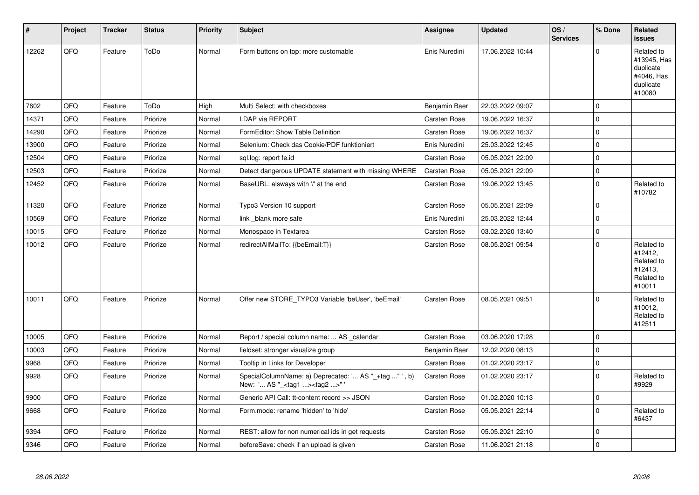| $\vert$ # | Project | <b>Tracker</b> | <b>Status</b> | <b>Priority</b> | <b>Subject</b>                                                                                    | <b>Assignee</b>     | <b>Updated</b>   | OS/<br><b>Services</b> | % Done      | Related<br><b>issues</b>                                                    |
|-----------|---------|----------------|---------------|-----------------|---------------------------------------------------------------------------------------------------|---------------------|------------------|------------------------|-------------|-----------------------------------------------------------------------------|
| 12262     | QFQ     | Feature        | ToDo          | Normal          | Form buttons on top: more customable                                                              | Enis Nuredini       | 17.06.2022 10:44 |                        | $\Omega$    | Related to<br>#13945, Has<br>duplicate<br>#4046, Has<br>duplicate<br>#10080 |
| 7602      | QFQ     | Feature        | ToDo          | High            | Multi Select: with checkboxes                                                                     | Benjamin Baer       | 22.03.2022 09:07 |                        | $\mathbf 0$ |                                                                             |
| 14371     | QFQ     | Feature        | Priorize      | Normal          | <b>LDAP via REPORT</b>                                                                            | Carsten Rose        | 19.06.2022 16:37 |                        | $\Omega$    |                                                                             |
| 14290     | QFQ     | Feature        | Priorize      | Normal          | FormEditor: Show Table Definition                                                                 | <b>Carsten Rose</b> | 19.06.2022 16:37 |                        | 0           |                                                                             |
| 13900     | QFQ     | Feature        | Priorize      | Normal          | Selenium: Check das Cookie/PDF funktioniert                                                       | Enis Nuredini       | 25.03.2022 12:45 |                        | $\mathbf 0$ |                                                                             |
| 12504     | QFQ     | Feature        | Priorize      | Normal          | sql.log: report fe.id                                                                             | <b>Carsten Rose</b> | 05.05.2021 22:09 |                        | $\mathbf 0$ |                                                                             |
| 12503     | QFQ     | Feature        | Priorize      | Normal          | Detect dangerous UPDATE statement with missing WHERE                                              | <b>Carsten Rose</b> | 05.05.2021 22:09 |                        | $\mathbf 0$ |                                                                             |
| 12452     | QFQ     | Feature        | Priorize      | Normal          | BaseURL: alsways with '/' at the end                                                              | Carsten Rose        | 19.06.2022 13:45 |                        | $\Omega$    | Related to<br>#10782                                                        |
| 11320     | QFQ     | Feature        | Priorize      | Normal          | Typo3 Version 10 support                                                                          | <b>Carsten Rose</b> | 05.05.2021 22:09 |                        | $\Omega$    |                                                                             |
| 10569     | QFQ     | Feature        | Priorize      | Normal          | link blank more safe                                                                              | Enis Nuredini       | 25.03.2022 12:44 |                        | $\mathbf 0$ |                                                                             |
| 10015     | QFQ     | Feature        | Priorize      | Normal          | Monospace in Textarea                                                                             | <b>Carsten Rose</b> | 03.02.2020 13:40 |                        | $\mathbf 0$ |                                                                             |
| 10012     | QFQ     | Feature        | Priorize      | Normal          | redirectAllMailTo: {{beEmail:T}}                                                                  | <b>Carsten Rose</b> | 08.05.2021 09:54 |                        | $\Omega$    | Related to<br>#12412,<br>Related to<br>#12413,<br>Related to<br>#10011      |
| 10011     | QFQ     | Feature        | Priorize      | Normal          | Offer new STORE TYPO3 Variable 'beUser', 'beEmail'                                                | <b>Carsten Rose</b> | 08.05.2021 09:51 |                        | $\Omega$    | Related to<br>#10012,<br>Related to<br>#12511                               |
| 10005     | QFQ     | Feature        | Priorize      | Normal          | Report / special column name:  AS calendar                                                        | <b>Carsten Rose</b> | 03.06.2020 17:28 |                        | 0           |                                                                             |
| 10003     | QFQ     | Feature        | Priorize      | Normal          | fieldset: stronger visualize group                                                                | Benjamin Baer       | 12.02.2020 08:13 |                        | $\Omega$    |                                                                             |
| 9968      | QFQ     | Feature        | Priorize      | Normal          | Tooltip in Links for Developer                                                                    | <b>Carsten Rose</b> | 01.02.2020 23:17 |                        | $\mathbf 0$ |                                                                             |
| 9928      | QFQ     | Feature        | Priorize      | Normal          | SpecialColumnName: a) Deprecated: ' AS "_+tag " ', b)<br>New: ' AS "_ <tag1><tag2>"</tag2></tag1> | <b>Carsten Rose</b> | 01.02.2020 23:17 |                        | $\Omega$    | Related to<br>#9929                                                         |
| 9900      | QFQ     | Feature        | Priorize      | Normal          | Generic API Call: tt-content record >> JSON                                                       | <b>Carsten Rose</b> | 01.02.2020 10:13 |                        | 0           |                                                                             |
| 9668      | QFQ     | Feature        | Priorize      | Normal          | Form.mode: rename 'hidden' to 'hide'                                                              | <b>Carsten Rose</b> | 05.05.2021 22:14 |                        | $\Omega$    | Related to<br>#6437                                                         |
| 9394      | QFQ     | Feature        | Priorize      | Normal          | REST: allow for non numerical ids in get requests                                                 | <b>Carsten Rose</b> | 05.05.2021 22:10 |                        | $\mathbf 0$ |                                                                             |
| 9346      | QFQ     | Feature        | Priorize      | Normal          | beforeSave: check if an upload is given                                                           | <b>Carsten Rose</b> | 11.06.2021 21:18 |                        | $\Omega$    |                                                                             |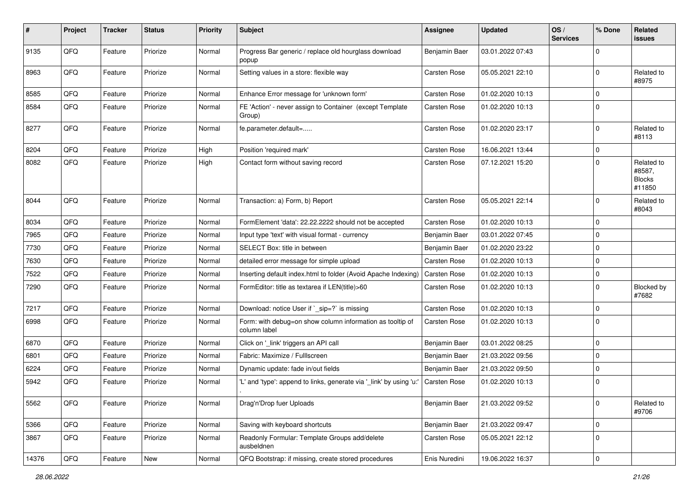| #     | Project | <b>Tracker</b> | <b>Status</b> | <b>Priority</b> | Subject                                                                   | <b>Assignee</b>     | <b>Updated</b>   | OS/<br><b>Services</b> | % Done      | Related<br>issues                               |
|-------|---------|----------------|---------------|-----------------|---------------------------------------------------------------------------|---------------------|------------------|------------------------|-------------|-------------------------------------------------|
| 9135  | QFQ     | Feature        | Priorize      | Normal          | Progress Bar generic / replace old hourglass download<br>popup            | Benjamin Baer       | 03.01.2022 07:43 |                        | $\Omega$    |                                                 |
| 8963  | QFQ     | Feature        | Priorize      | Normal          | Setting values in a store: flexible way                                   | <b>Carsten Rose</b> | 05.05.2021 22:10 |                        | $\Omega$    | Related to<br>#8975                             |
| 8585  | QFQ     | Feature        | Priorize      | Normal          | Enhance Error message for 'unknown form'                                  | <b>Carsten Rose</b> | 01.02.2020 10:13 |                        | $\Omega$    |                                                 |
| 8584  | QFQ     | Feature        | Priorize      | Normal          | FE 'Action' - never assign to Container (except Template<br>Group)        | Carsten Rose        | 01.02.2020 10:13 |                        | $\Omega$    |                                                 |
| 8277  | QFQ     | Feature        | Priorize      | Normal          | fe.parameter.default=                                                     | Carsten Rose        | 01.02.2020 23:17 |                        | $\Omega$    | Related to<br>#8113                             |
| 8204  | QFQ     | Feature        | Priorize      | High            | Position 'required mark'                                                  | <b>Carsten Rose</b> | 16.06.2021 13:44 |                        | $\mathbf 0$ |                                                 |
| 8082  | QFQ     | Feature        | Priorize      | High            | Contact form without saving record                                        | <b>Carsten Rose</b> | 07.12.2021 15:20 |                        | $\Omega$    | Related to<br>#8587,<br><b>Blocks</b><br>#11850 |
| 8044  | QFQ     | Feature        | Priorize      | Normal          | Transaction: a) Form, b) Report                                           | <b>Carsten Rose</b> | 05.05.2021 22:14 |                        | 0           | Related to<br>#8043                             |
| 8034  | QFQ     | Feature        | Priorize      | Normal          | FormElement 'data': 22.22.2222 should not be accepted                     | Carsten Rose        | 01.02.2020 10:13 |                        | $\Omega$    |                                                 |
| 7965  | QFQ     | Feature        | Priorize      | Normal          | Input type 'text' with visual format - currency                           | Benjamin Baer       | 03.01.2022 07:45 |                        | $\Omega$    |                                                 |
| 7730  | QFQ     | Feature        | Priorize      | Normal          | SELECT Box: title in between                                              | Benjamin Baer       | 01.02.2020 23:22 |                        | $\Omega$    |                                                 |
| 7630  | QFQ     | Feature        | Priorize      | Normal          | detailed error message for simple upload                                  | <b>Carsten Rose</b> | 01.02.2020 10:13 |                        | $\Omega$    |                                                 |
| 7522  | QFQ     | Feature        | Priorize      | Normal          | Inserting default index.html to folder (Avoid Apache Indexing)            | <b>Carsten Rose</b> | 01.02.2020 10:13 |                        | $\mathbf 0$ |                                                 |
| 7290  | QFQ     | Feature        | Priorize      | Normal          | FormEditor: title as textarea if LEN(title)>60                            | Carsten Rose        | 01.02.2020 10:13 |                        | $\Omega$    | Blocked by<br>#7682                             |
| 7217  | QFQ     | Feature        | Priorize      | Normal          | Download: notice User if ` sip=?` is missing                              | <b>Carsten Rose</b> | 01.02.2020 10:13 |                        | $\Omega$    |                                                 |
| 6998  | QFQ     | Feature        | Priorize      | Normal          | Form: with debug=on show column information as tooltip of<br>column label | <b>Carsten Rose</b> | 01.02.2020 10:13 |                        | $\mathbf 0$ |                                                 |
| 6870  | QFQ     | Feature        | Priorize      | Normal          | Click on '_link' triggers an API call                                     | Benjamin Baer       | 03.01.2022 08:25 |                        | $\Omega$    |                                                 |
| 6801  | QFQ     | Feature        | Priorize      | Normal          | Fabric: Maximize / Fulllscreen                                            | Benjamin Baer       | 21.03.2022 09:56 |                        | $\Omega$    |                                                 |
| 6224  | QFQ     | Feature        | Priorize      | Normal          | Dynamic update: fade in/out fields                                        | Benjamin Baer       | 21.03.2022 09:50 |                        | $\Omega$    |                                                 |
| 5942  | QFQ     | Feature        | Priorize      | Normal          | 'L' and 'type': append to links, generate via '_link' by using 'u:        | Carsten Rose        | 01.02.2020 10:13 |                        | $\Omega$    |                                                 |
| 5562  | QFG     | Feature        | Priorize      | Normal          | Drag'n'Drop fuer Uploads                                                  | Benjamin Baer       | 21.03.2022 09:52 |                        | $\mathbf 0$ | Related to<br>#9706                             |
| 5366  | QFQ     | Feature        | Priorize      | Normal          | Saving with keyboard shortcuts                                            | Benjamin Baer       | 21.03.2022 09:47 |                        | $\mathbf 0$ |                                                 |
| 3867  | QFQ     | Feature        | Priorize      | Normal          | Readonly Formular: Template Groups add/delete<br>ausbeldnen               | Carsten Rose        | 05.05.2021 22:12 |                        | 0           |                                                 |
| 14376 | QFQ     | Feature        | New           | Normal          | QFQ Bootstrap: if missing, create stored procedures                       | Enis Nuredini       | 19.06.2022 16:37 |                        | 0           |                                                 |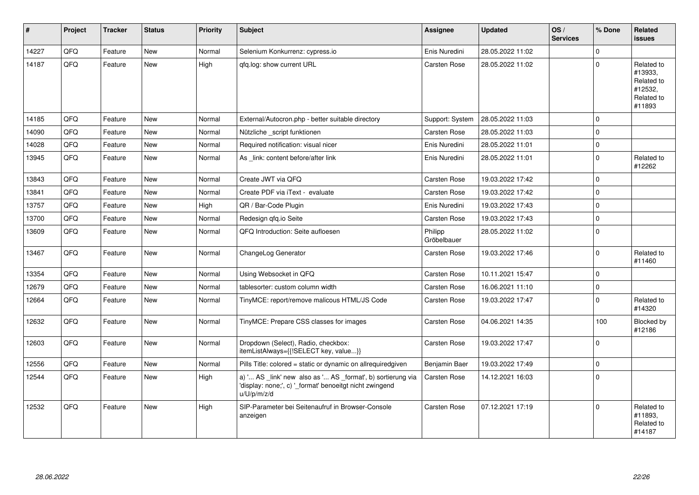| #     | Project | <b>Tracker</b> | <b>Status</b> | <b>Priority</b> | <b>Subject</b>                                                                                                                        | Assignee               | <b>Updated</b>   | OS/<br><b>Services</b> | % Done         | Related<br>issues                                                      |
|-------|---------|----------------|---------------|-----------------|---------------------------------------------------------------------------------------------------------------------------------------|------------------------|------------------|------------------------|----------------|------------------------------------------------------------------------|
| 14227 | QFQ     | Feature        | <b>New</b>    | Normal          | Selenium Konkurrenz: cypress.io                                                                                                       | Enis Nuredini          | 28.05.2022 11:02 |                        | $\Omega$       |                                                                        |
| 14187 | QFQ     | Feature        | New           | High            | gfg.log: show current URL                                                                                                             | Carsten Rose           | 28.05.2022 11:02 |                        | $\Omega$       | Related to<br>#13933,<br>Related to<br>#12532,<br>Related to<br>#11893 |
| 14185 | QFQ     | Feature        | <b>New</b>    | Normal          | External/Autocron.php - better suitable directory                                                                                     | Support: System        | 28.05.2022 11:03 |                        | $\Omega$       |                                                                        |
| 14090 | QFQ     | Feature        | <b>New</b>    | Normal          | Nützliche script funktionen                                                                                                           | <b>Carsten Rose</b>    | 28.05.2022 11:03 |                        | $\Omega$       |                                                                        |
| 14028 | QFQ     | Feature        | <b>New</b>    | Normal          | Required notification: visual nicer                                                                                                   | Enis Nuredini          | 28.05.2022 11:01 |                        | $\mathbf 0$    |                                                                        |
| 13945 | QFQ     | Feature        | <b>New</b>    | Normal          | As link: content before/after link                                                                                                    | Enis Nuredini          | 28.05.2022 11:01 |                        | $\mathbf 0$    | Related to<br>#12262                                                   |
| 13843 | QFQ     | Feature        | New           | Normal          | Create JWT via QFQ                                                                                                                    | <b>Carsten Rose</b>    | 19.03.2022 17:42 |                        | $\Omega$       |                                                                        |
| 13841 | QFQ     | Feature        | <b>New</b>    | Normal          | Create PDF via iText - evaluate                                                                                                       | Carsten Rose           | 19.03.2022 17:42 |                        | $\Omega$       |                                                                        |
| 13757 | QFQ     | Feature        | <b>New</b>    | High            | QR / Bar-Code Plugin                                                                                                                  | Enis Nuredini          | 19.03.2022 17:43 |                        | $\Omega$       |                                                                        |
| 13700 | QFQ     | Feature        | <b>New</b>    | Normal          | Redesign gfg.io Seite                                                                                                                 | Carsten Rose           | 19.03.2022 17:43 |                        | $\Omega$       |                                                                        |
| 13609 | QFQ     | Feature        | <b>New</b>    | Normal          | QFQ Introduction: Seite aufloesen                                                                                                     | Philipp<br>Gröbelbauer | 28.05.2022 11:02 |                        | $\mathbf 0$    |                                                                        |
| 13467 | QFQ     | Feature        | <b>New</b>    | Normal          | ChangeLog Generator                                                                                                                   | Carsten Rose           | 19.03.2022 17:46 |                        | $\Omega$       | Related to<br>#11460                                                   |
| 13354 | QFQ     | Feature        | <b>New</b>    | Normal          | Using Websocket in QFQ                                                                                                                | <b>Carsten Rose</b>    | 10.11.2021 15:47 |                        | $\Omega$       |                                                                        |
| 12679 | QFQ     | Feature        | <b>New</b>    | Normal          | tablesorter: custom column width                                                                                                      | Carsten Rose           | 16.06.2021 11:10 |                        | $\Omega$       |                                                                        |
| 12664 | QFQ     | Feature        | <b>New</b>    | Normal          | TinyMCE: report/remove malicous HTML/JS Code                                                                                          | Carsten Rose           | 19.03.2022 17:47 |                        | $\Omega$       | Related to<br>#14320                                                   |
| 12632 | QFQ     | Feature        | New           | Normal          | TinyMCE: Prepare CSS classes for images                                                                                               | <b>Carsten Rose</b>    | 04.06.2021 14:35 |                        | 100            | Blocked by<br>#12186                                                   |
| 12603 | QFQ     | Feature        | <b>New</b>    | Normal          | Dropdown (Select), Radio, checkbox:<br>itemListAlways={{!SELECT key, value}}                                                          | Carsten Rose           | 19.03.2022 17:47 |                        | $\overline{0}$ |                                                                        |
| 12556 | QFQ     | Feature        | <b>New</b>    | Normal          | Pills Title: colored = static or dynamic on allrequiredgiven                                                                          | Benjamin Baer          | 19.03.2022 17:49 |                        | $\Omega$       |                                                                        |
| 12544 | QFQ     | Feature        | <b>New</b>    | High            | a) ' AS _link' new also as ' AS _format', b) sortierung via<br>'display: none;', c) '_format' benoeitgt nicht zwingend<br>u/U/p/m/z/d | <b>Carsten Rose</b>    | 14.12.2021 16:03 |                        | $\mathbf 0$    |                                                                        |
| 12532 | QFQ     | Feature        | <b>New</b>    | High            | SIP-Parameter bei Seitenaufruf in Browser-Console<br>anzeigen                                                                         | Carsten Rose           | 07.12.2021 17:19 |                        | $\Omega$       | Related to<br>#11893,<br>Related to<br>#14187                          |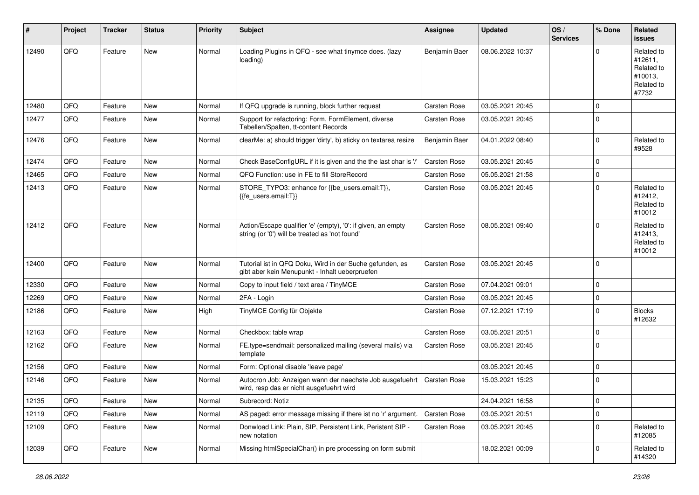| #     | Project | <b>Tracker</b> | <b>Status</b> | <b>Priority</b> | <b>Subject</b>                                                                                                 | <b>Assignee</b>     | <b>Updated</b>   | OS/<br><b>Services</b> | % Done      | Related<br><b>issues</b>                                              |
|-------|---------|----------------|---------------|-----------------|----------------------------------------------------------------------------------------------------------------|---------------------|------------------|------------------------|-------------|-----------------------------------------------------------------------|
| 12490 | QFQ     | Feature        | <b>New</b>    | Normal          | Loading Plugins in QFQ - see what tinymce does. (lazy<br>loading)                                              | Benjamin Baer       | 08.06.2022 10:37 |                        | $\Omega$    | Related to<br>#12611,<br>Related to<br>#10013,<br>Related to<br>#7732 |
| 12480 | QFQ     | Feature        | <b>New</b>    | Normal          | If QFQ upgrade is running, block further request                                                               | <b>Carsten Rose</b> | 03.05.2021 20:45 |                        | $\mathbf 0$ |                                                                       |
| 12477 | QFQ     | Feature        | New           | Normal          | Support for refactoring: Form, FormElement, diverse<br>Tabellen/Spalten, tt-content Records                    | Carsten Rose        | 03.05.2021 20:45 |                        | $\mathbf 0$ |                                                                       |
| 12476 | QFQ     | Feature        | <b>New</b>    | Normal          | clearMe: a) should trigger 'dirty', b) sticky on textarea resize                                               | Benjamin Baer       | 04.01.2022 08:40 |                        | $\mathbf 0$ | Related to<br>#9528                                                   |
| 12474 | QFQ     | Feature        | <b>New</b>    | Normal          | Check BaseConfigURL if it is given and the the last char is '/'                                                | <b>Carsten Rose</b> | 03.05.2021 20:45 |                        | $\mathbf 0$ |                                                                       |
| 12465 | QFQ     | Feature        | New           | Normal          | QFQ Function: use in FE to fill StoreRecord                                                                    | <b>Carsten Rose</b> | 05.05.2021 21:58 |                        | $\mathbf 0$ |                                                                       |
| 12413 | QFQ     | Feature        | New           | Normal          | STORE_TYPO3: enhance for {{be_users.email:T}},<br>{{fe_users.email:T}}                                         | Carsten Rose        | 03.05.2021 20:45 |                        | $\mathbf 0$ | Related to<br>#12412,<br>Related to<br>#10012                         |
| 12412 | QFQ     | Feature        | <b>New</b>    | Normal          | Action/Escape qualifier 'e' (empty), '0': if given, an empty<br>string (or '0') will be treated as 'not found' | Carsten Rose        | 08.05.2021 09:40 |                        | $\mathbf 0$ | Related to<br>#12413,<br>Related to<br>#10012                         |
| 12400 | QFQ     | Feature        | New           | Normal          | Tutorial ist in QFQ Doku, Wird in der Suche gefunden, es<br>gibt aber kein Menupunkt - Inhalt ueberpruefen     | <b>Carsten Rose</b> | 03.05.2021 20:45 |                        | $\mathbf 0$ |                                                                       |
| 12330 | QFQ     | Feature        | <b>New</b>    | Normal          | Copy to input field / text area / TinyMCE                                                                      | <b>Carsten Rose</b> | 07.04.2021 09:01 |                        | $\mathbf 0$ |                                                                       |
| 12269 | QFQ     | Feature        | New           | Normal          | 2FA - Login                                                                                                    | Carsten Rose        | 03.05.2021 20:45 |                        | $\mathbf 0$ |                                                                       |
| 12186 | QFQ     | Feature        | New           | High            | TinyMCE Config für Objekte                                                                                     | <b>Carsten Rose</b> | 07.12.2021 17:19 |                        | $\mathbf 0$ | <b>Blocks</b><br>#12632                                               |
| 12163 | QFQ     | Feature        | <b>New</b>    | Normal          | Checkbox: table wrap                                                                                           | <b>Carsten Rose</b> | 03.05.2021 20:51 |                        | $\mathbf 0$ |                                                                       |
| 12162 | QFQ     | Feature        | <b>New</b>    | Normal          | FE.type=sendmail: personalized mailing (several mails) via<br>template                                         | <b>Carsten Rose</b> | 03.05.2021 20:45 |                        | $\mathbf 0$ |                                                                       |
| 12156 | QFQ     | Feature        | <b>New</b>    | Normal          | Form: Optional disable 'leave page'                                                                            |                     | 03.05.2021 20:45 |                        | $\mathbf 0$ |                                                                       |
| 12146 | QFQ     | Feature        | New           | Normal          | Autocron Job: Anzeigen wann der naechste Job ausgefuehrt<br>wird, resp das er nicht ausgefuehrt wird           | Carsten Rose        | 15.03.2021 15:23 |                        | $\mathbf 0$ |                                                                       |
| 12135 | QFQ     | Feature        | New           | Normal          | Subrecord: Notiz                                                                                               |                     | 24.04.2021 16:58 |                        | $\pmb{0}$   |                                                                       |
| 12119 | QFQ     | Feature        | New           | Normal          | AS paged: error message missing if there ist no 'r' argument.                                                  | Carsten Rose        | 03.05.2021 20:51 |                        | $\pmb{0}$   |                                                                       |
| 12109 | QFQ     | Feature        | New           | Normal          | Donwload Link: Plain, SIP, Persistent Link, Peristent SIP -<br>new notation                                    | <b>Carsten Rose</b> | 03.05.2021 20:45 |                        | 0           | Related to<br>#12085                                                  |
| 12039 | QFQ     | Feature        | New           | Normal          | Missing htmlSpecialChar() in pre processing on form submit                                                     |                     | 18.02.2021 00:09 |                        | 0           | Related to<br>#14320                                                  |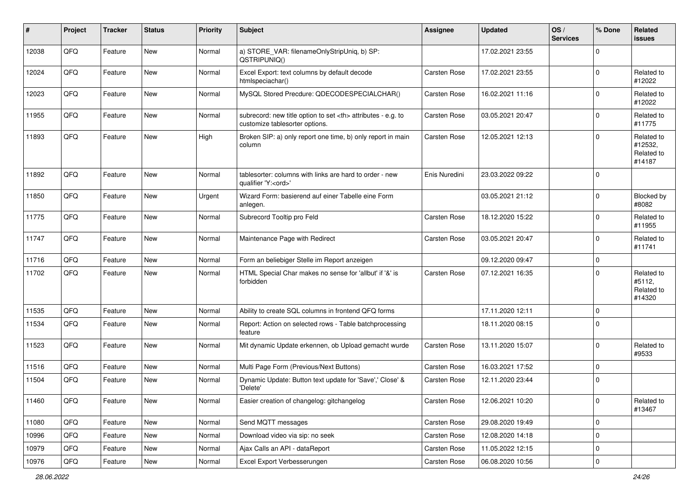| $\sharp$ | Project | <b>Tracker</b> | <b>Status</b> | <b>Priority</b> | <b>Subject</b>                                                                                       | Assignee                                               | <b>Updated</b>   | OS/<br><b>Services</b> | % Done      | Related<br>issues                             |                      |
|----------|---------|----------------|---------------|-----------------|------------------------------------------------------------------------------------------------------|--------------------------------------------------------|------------------|------------------------|-------------|-----------------------------------------------|----------------------|
| 12038    | QFQ     | Feature        | New           | Normal          | a) STORE_VAR: filenameOnlyStripUniq, b) SP:<br>QSTRIPUNIQ()                                          |                                                        | 17.02.2021 23:55 |                        | $\Omega$    |                                               |                      |
| 12024    | QFQ     | Feature        | New           | Normal          | Excel Export: text columns by default decode<br>htmlspeciachar()                                     | <b>Carsten Rose</b>                                    | 17.02.2021 23:55 |                        | 0           | Related to<br>#12022                          |                      |
| 12023    | QFQ     | Feature        | New           | Normal          | MySQL Stored Precdure: QDECODESPECIALCHAR()                                                          | Carsten Rose                                           | 16.02.2021 11:16 |                        | $\Omega$    | Related to<br>#12022                          |                      |
| 11955    | QFQ     | Feature        | New           | Normal          | subrecord: new title option to set <th> attributes - e.g. to<br/>customize tablesorter options.</th> | attributes - e.g. to<br>customize tablesorter options. | Carsten Rose     | 03.05.2021 20:47       |             | $\mathbf 0$                                   | Related to<br>#11775 |
| 11893    | QFQ     | Feature        | New           | High            | Broken SIP: a) only report one time, b) only report in main<br>column                                | <b>Carsten Rose</b>                                    | 12.05.2021 12:13 |                        | $\Omega$    | Related to<br>#12532,<br>Related to<br>#14187 |                      |
| 11892    | QFQ     | Feature        | New           | Normal          | tablesorter: columns with links are hard to order - new<br>qualifier 'Y: <ord>'</ord>                | Enis Nuredini                                          | 23.03.2022 09:22 |                        | 0           |                                               |                      |
| 11850    | QFQ     | Feature        | New           | Urgent          | Wizard Form: basierend auf einer Tabelle eine Form<br>anlegen.                                       |                                                        | 03.05.2021 21:12 |                        | 0           | Blocked by<br>#8082                           |                      |
| 11775    | QFQ     | Feature        | New           | Normal          | Subrecord Tooltip pro Feld                                                                           | <b>Carsten Rose</b>                                    | 18.12.2020 15:22 |                        | 0           | Related to<br>#11955                          |                      |
| 11747    | QFQ     | Feature        | New           | Normal          | Maintenance Page with Redirect                                                                       | <b>Carsten Rose</b>                                    | 03.05.2021 20:47 |                        | $\Omega$    | Related to<br>#11741                          |                      |
| 11716    | QFQ     | Feature        | New           | Normal          | Form an beliebiger Stelle im Report anzeigen                                                         |                                                        | 09.12.2020 09:47 |                        | $\mathbf 0$ |                                               |                      |
| 11702    | QFQ     | Feature        | New           | Normal          | HTML Special Char makes no sense for 'allbut' if '&' is<br>forbidden                                 | <b>Carsten Rose</b>                                    | 07.12.2021 16:35 |                        | $\Omega$    | Related to<br>#5112,<br>Related to<br>#14320  |                      |
| 11535    | QFQ     | Feature        | New           | Normal          | Ability to create SQL columns in frontend QFQ forms                                                  |                                                        | 17.11.2020 12:11 |                        | $\mathbf 0$ |                                               |                      |
| 11534    | QFQ     | Feature        | New           | Normal          | Report: Action on selected rows - Table batchprocessing<br>feature                                   |                                                        | 18.11.2020 08:15 |                        | l 0         |                                               |                      |
| 11523    | QFQ     | Feature        | New           | Normal          | Mit dynamic Update erkennen, ob Upload gemacht wurde                                                 | Carsten Rose                                           | 13.11.2020 15:07 |                        | $\Omega$    | Related to<br>#9533                           |                      |
| 11516    | QFQ     | Feature        | New           | Normal          | Multi Page Form (Previous/Next Buttons)                                                              | Carsten Rose                                           | 16.03.2021 17:52 |                        | l 0         |                                               |                      |
| 11504    | QFQ     | Feature        | New           | Normal          | Dynamic Update: Button text update for 'Save',' Close' &<br>'Delete'                                 | Carsten Rose                                           | 12.11.2020 23:44 |                        | 0           |                                               |                      |
| 11460    | QFQ     | Feature        | New           | Normal          | Easier creation of changelog: gitchangelog                                                           | Carsten Rose                                           | 12.06.2021 10:20 |                        | 0           | Related to<br>#13467                          |                      |
| 11080    | QFQ     | Feature        | New           | Normal          | Send MQTT messages                                                                                   | Carsten Rose                                           | 29.08.2020 19:49 |                        | $\mathbf 0$ |                                               |                      |
| 10996    | QFQ     | Feature        | New           | Normal          | Download video via sip: no seek                                                                      | Carsten Rose                                           | 12.08.2020 14:18 |                        | $\mathbf 0$ |                                               |                      |
| 10979    | QFQ     | Feature        | New           | Normal          | Ajax Calls an API - dataReport                                                                       | Carsten Rose                                           | 11.05.2022 12:15 |                        | 0           |                                               |                      |
| 10976    | QFQ     | Feature        | New           | Normal          | Excel Export Verbesserungen                                                                          | Carsten Rose                                           | 06.08.2020 10:56 |                        | 0           |                                               |                      |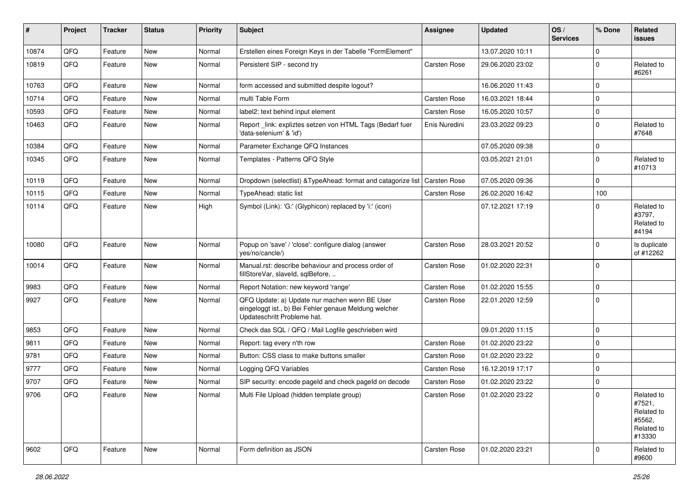| ∦     | Project | <b>Tracker</b> | <b>Status</b> | <b>Priority</b> | <b>Subject</b>                                                                                                                        | <b>Assignee</b>     | <b>Updated</b>   | OS/<br><b>Services</b> | % Done      | Related<br>issues                                                    |
|-------|---------|----------------|---------------|-----------------|---------------------------------------------------------------------------------------------------------------------------------------|---------------------|------------------|------------------------|-------------|----------------------------------------------------------------------|
| 10874 | QFQ     | Feature        | <b>New</b>    | Normal          | Erstellen eines Foreign Keys in der Tabelle "FormElement"                                                                             |                     | 13.07.2020 10:11 |                        | $\Omega$    |                                                                      |
| 10819 | QFQ     | Feature        | <b>New</b>    | Normal          | Persistent SIP - second try                                                                                                           | <b>Carsten Rose</b> | 29.06.2020 23:02 |                        | 0           | Related to<br>#6261                                                  |
| 10763 | QFQ     | Feature        | <b>New</b>    | Normal          | form accessed and submitted despite logout?                                                                                           |                     | 16.06.2020 11:43 |                        | $\Omega$    |                                                                      |
| 10714 | QFQ     | Feature        | New           | Normal          | multi Table Form                                                                                                                      | Carsten Rose        | 16.03.2021 18:44 |                        | $\Omega$    |                                                                      |
| 10593 | QFQ     | Feature        | New           | Normal          | label2: text behind input element                                                                                                     | <b>Carsten Rose</b> | 16.05.2020 10:57 |                        | $\Omega$    |                                                                      |
| 10463 | QFQ     | Feature        | New           | Normal          | Report _link: expliztes setzen von HTML Tags (Bedarf fuer<br>'data-selenium' & 'id')                                                  | Enis Nuredini       | 23.03.2022 09:23 |                        | $\Omega$    | Related to<br>#7648                                                  |
| 10384 | QFQ     | Feature        | <b>New</b>    | Normal          | Parameter Exchange QFQ Instances                                                                                                      |                     | 07.05.2020 09:38 |                        | $\mathbf 0$ |                                                                      |
| 10345 | QFQ     | Feature        | <b>New</b>    | Normal          | Templates - Patterns QFQ Style                                                                                                        |                     | 03.05.2021 21:01 |                        | 0           | Related to<br>#10713                                                 |
| 10119 | QFQ     | Feature        | <b>New</b>    | Normal          | Dropdown (selectlist) & TypeAhead: format and catagorize list                                                                         | <b>Carsten Rose</b> | 07.05.2020 09:36 |                        | $\Omega$    |                                                                      |
| 10115 | QFQ     | Feature        | New           | Normal          | TypeAhead: static list                                                                                                                | <b>Carsten Rose</b> | 26.02.2020 16:42 |                        | 100         |                                                                      |
| 10114 | QFQ     | Feature        | <b>New</b>    | High            | Symbol (Link): 'G:' (Glyphicon) replaced by 'i:' (icon)                                                                               |                     | 07.12.2021 17:19 |                        | $\Omega$    | Related to<br>#3797,<br>Related to<br>#4194                          |
| 10080 | QFQ     | Feature        | New           | Normal          | Popup on 'save' / 'close': configure dialog (answer<br>yes/no/cancle/)                                                                | <b>Carsten Rose</b> | 28.03.2021 20:52 |                        | 0           | Is duplicate<br>of #12262                                            |
| 10014 | QFQ     | Feature        | <b>New</b>    | Normal          | Manual.rst: describe behaviour and process order of<br>fillStoreVar, slaveId, sqlBefore,                                              | Carsten Rose        | 01.02.2020 22:31 |                        | $\Omega$    |                                                                      |
| 9983  | QFQ     | Feature        | <b>New</b>    | Normal          | Report Notation: new keyword 'range'                                                                                                  | <b>Carsten Rose</b> | 01.02.2020 15:55 |                        | $\mathbf 0$ |                                                                      |
| 9927  | QFQ     | Feature        | <b>New</b>    | Normal          | QFQ Update: a) Update nur machen wenn BE User<br>eingeloggt ist., b) Bei Fehler genaue Meldung welcher<br>Updateschritt Probleme hat. | <b>Carsten Rose</b> | 22.01.2020 12:59 |                        | $\Omega$    |                                                                      |
| 9853  | QFQ     | Feature        | <b>New</b>    | Normal          | Check das SQL / QFQ / Mail Logfile geschrieben wird                                                                                   |                     | 09.01.2020 11:15 |                        | $\mathbf 0$ |                                                                      |
| 9811  | QFQ     | Feature        | New           | Normal          | Report: tag every n'th row                                                                                                            | <b>Carsten Rose</b> | 01.02.2020 23:22 |                        | $\Omega$    |                                                                      |
| 9781  | QFQ     | Feature        | <b>New</b>    | Normal          | Button: CSS class to make buttons smaller                                                                                             | <b>Carsten Rose</b> | 01.02.2020 23:22 |                        | $\Omega$    |                                                                      |
| 9777  | QFQ     | Feature        | New           | Normal          | Logging QFQ Variables                                                                                                                 | <b>Carsten Rose</b> | 16.12.2019 17:17 |                        | 0           |                                                                      |
| 9707  | QFQ     | Feature        | <b>New</b>    | Normal          | SIP security: encode pageld and check pageld on decode                                                                                | <b>Carsten Rose</b> | 01.02.2020 23:22 |                        | $\Omega$    |                                                                      |
| 9706  | QFQ     | Feature        | New           | Normal          | Multi File Upload (hidden template group)                                                                                             | Carsten Rose        | 01.02.2020 23:22 |                        |             | Related to<br>#7521,<br>Related to<br>#5562,<br>Related to<br>#13330 |
| 9602  | QFQ     | Feature        | New           | Normal          | Form definition as JSON                                                                                                               | Carsten Rose        | 01.02.2020 23:21 |                        | 0           | Related to<br>#9600                                                  |